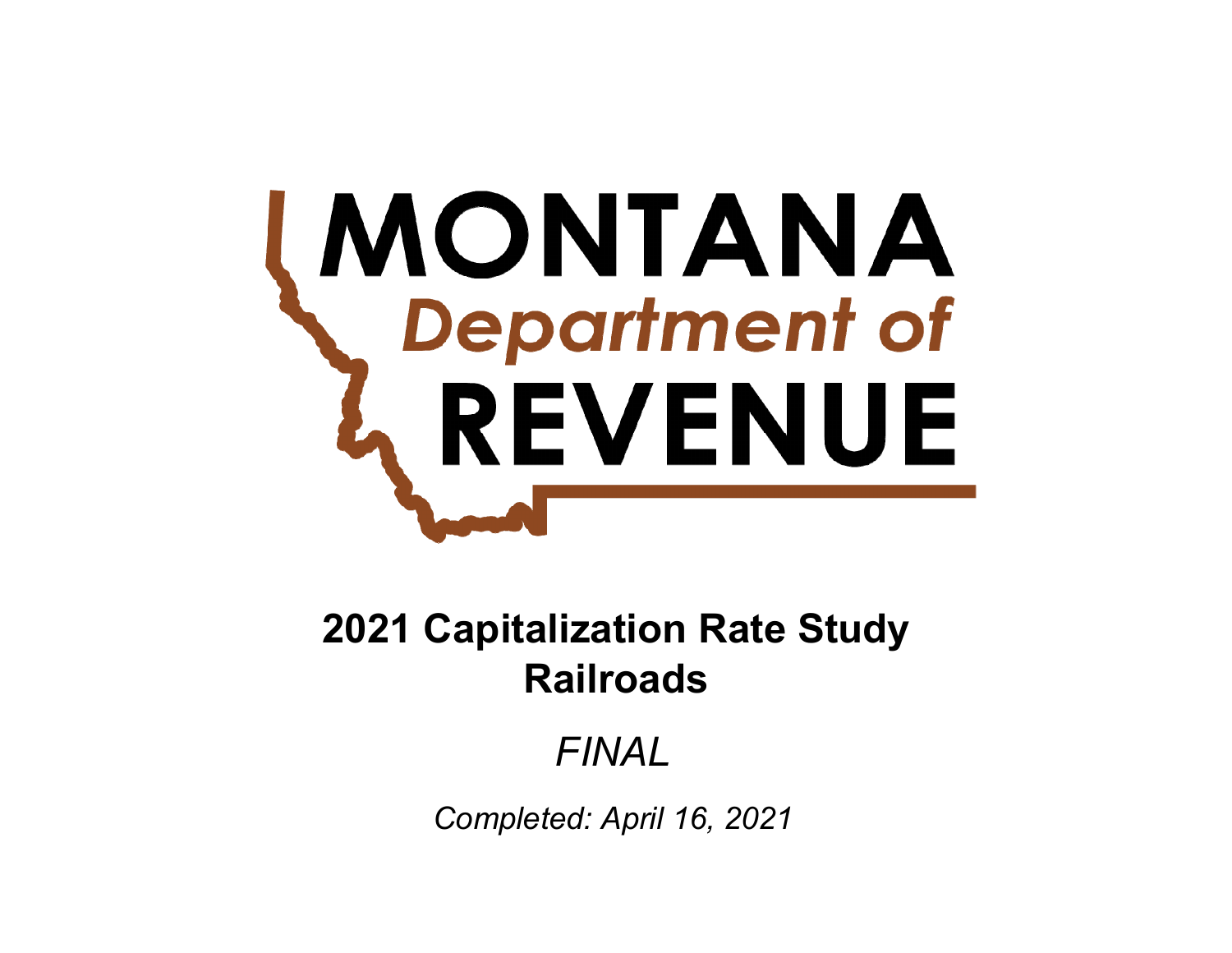# **MONTANA**<br>Chepartment of REVENUE

# **Railroads2021 Capitalization Rate Study**

# *FINAL*

*Completed: April 16, 2021*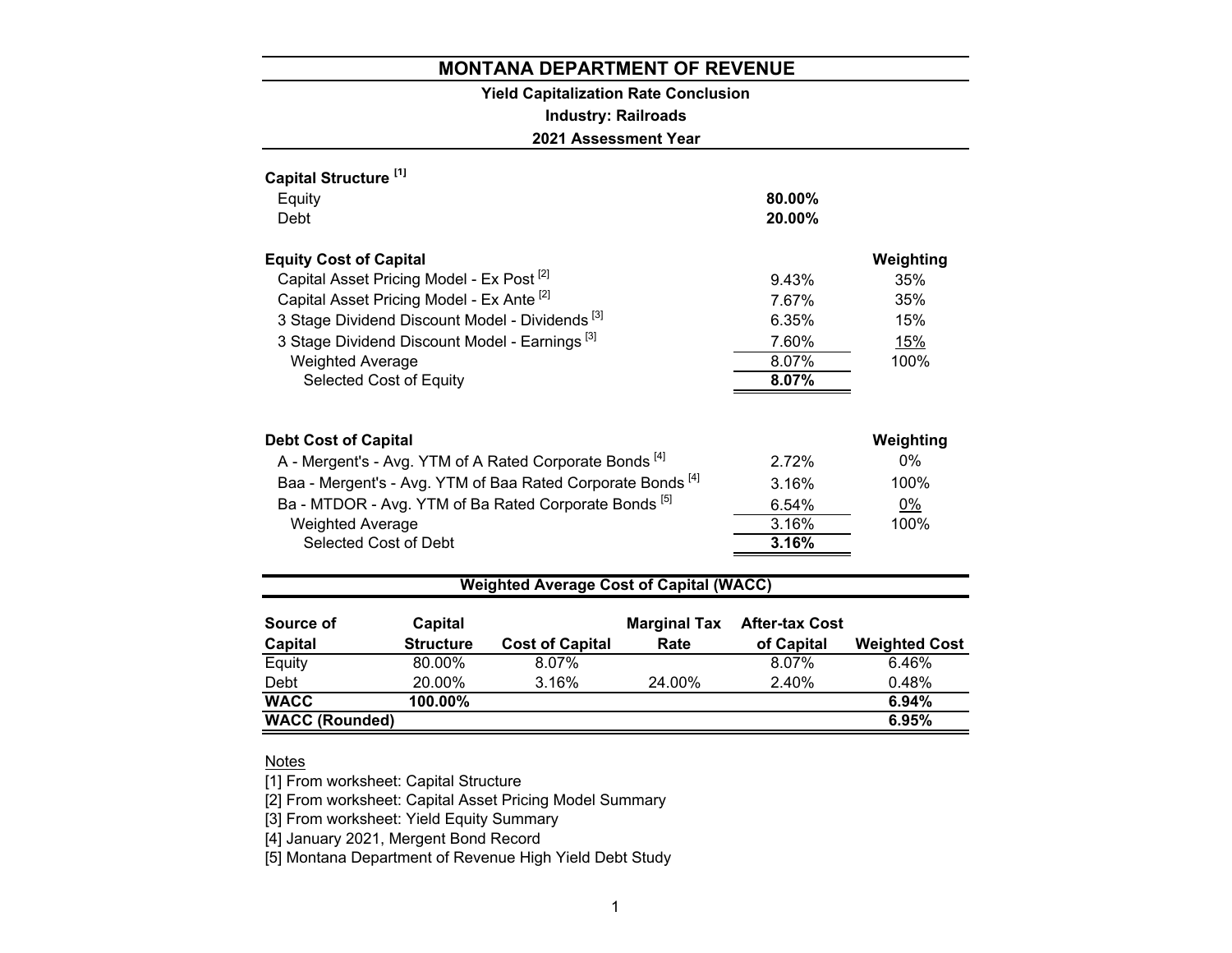# **Yield Capitalization Rate Conclusion**

# **Industry: Railroads**

**2021 Assessment Year**

| Capital Structure <sup>[1]</sup><br>Equity<br>Debt                     | $80.00\%$<br>20.00% |           |  |  |  |  |
|------------------------------------------------------------------------|---------------------|-----------|--|--|--|--|
| <b>Equity Cost of Capital</b>                                          |                     | Weighting |  |  |  |  |
| Capital Asset Pricing Model - Ex Post <sup>[2]</sup>                   | 9.43%               | 35%       |  |  |  |  |
| Capital Asset Pricing Model - Ex Ante <sup>[2]</sup>                   | 7.67%               | 35%       |  |  |  |  |
| 3 Stage Dividend Discount Model - Dividends <sup>[3]</sup>             | 6.35%               | 15%       |  |  |  |  |
| 3 Stage Dividend Discount Model - Earnings <sup>[3]</sup>              | 7.60%               | 15%       |  |  |  |  |
| <b>Weighted Average</b>                                                | 8.07%               | 100%      |  |  |  |  |
| Selected Cost of Equity                                                | 8.07%               |           |  |  |  |  |
| <b>Debt Cost of Capital</b>                                            |                     | Weighting |  |  |  |  |
| A - Mergent's - Avg. YTM of A Rated Corporate Bonds <sup>[4]</sup>     | 272%                | $0\%$     |  |  |  |  |
| Baa - Mergent's - Avg. YTM of Baa Rated Corporate Bonds <sup>[4]</sup> | 3.16%               | 100%      |  |  |  |  |
| Ba - MTDOR - Avg. YTM of Ba Rated Corporate Bonds <sup>[5]</sup>       | 6.54%               | 0%        |  |  |  |  |
| <b>Weighted Average</b>                                                | 3.16%               | 100%      |  |  |  |  |
| Selected Cost of Debt                                                  | 3.16%               |           |  |  |  |  |
| <b>Weighted Average Cost of Capital (WACC)</b>                         |                     |           |  |  |  |  |

| Source of             | Capital          |                        | <b>Marginal Tax</b> | <b>After-tax Cost</b> |                      |
|-----------------------|------------------|------------------------|---------------------|-----------------------|----------------------|
| <b>Capital</b>        | <b>Structure</b> | <b>Cost of Capital</b> | Rate                | of Capital            | <b>Weighted Cost</b> |
| Equity                | 80.00%           | 8.07%                  |                     | 8.07%                 | 6.46%                |
| Debt                  | 20.00%           | 3.16%                  | 24.00%              | 2.40%                 | 0.48%                |
| <b>WACC</b>           | $100.00\%$       |                        |                     |                       | 6.94%                |
| <b>WACC (Rounded)</b> |                  |                        |                     |                       | 6.95%                |

#### Notes

[1] From worksheet: Capital Structure

[2] From worksheet: Capital Asset Pricing Model Summary

[3] From worksheet: Yield Equity Summary

[4] January 2021, Mergent Bond Record

[5] Montana Department of Revenue High Yield Debt Study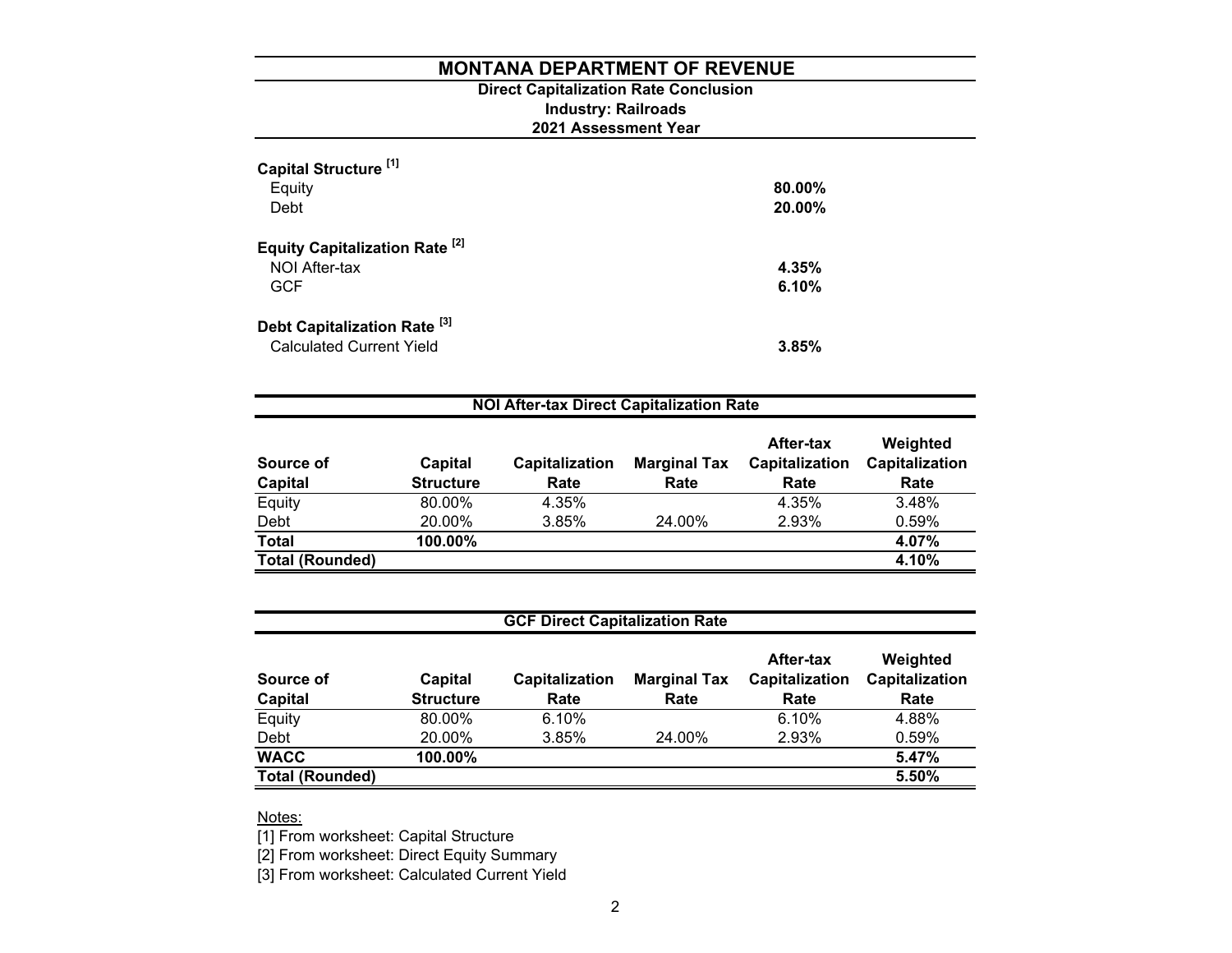# **2021 Assessment Year Industry: Railroads Direct Capitalization Rate Conclusion**

| Capital Structure <sup>[1]</sup><br>Equity<br>Debt | 80.00%<br>20.00% |
|----------------------------------------------------|------------------|
| Equity Capitalization Rate <sup>[2]</sup>          |                  |
| NOI After-tax                                      | 4.35%            |
| <b>GCF</b>                                         | 6.10%            |
| Debt Capitalization Rate <sup>[3]</sup>            |                  |
| <b>Calculated Current Yield</b>                    | 3.85%            |

| <b>NOI After-tax Direct Capitalization Rate</b> |                             |                        |                             |                                     |                                    |  |  |
|-------------------------------------------------|-----------------------------|------------------------|-----------------------------|-------------------------------------|------------------------------------|--|--|
| Source of<br>Capital                            | Capital<br><b>Structure</b> | Capitalization<br>Rate | <b>Marginal Tax</b><br>Rate | After-tax<br>Capitalization<br>Rate | Weighted<br>Capitalization<br>Rate |  |  |
| Equity                                          | 80.00%                      | 4.35%                  |                             | 4.35%                               | 3.48%                              |  |  |
| Debt                                            | 20.00%                      | 3.85%                  | 24.00%                      | 2.93%                               | 0.59%                              |  |  |
| <b>Total</b>                                    | 100.00%                     |                        |                             |                                     | 4.07%                              |  |  |
| <b>Total (Rounded)</b>                          |                             |                        |                             |                                     | 4.10%                              |  |  |

| <b>GCF Direct Capitalization Rate</b> |                             |                        |                             |                                     |                                    |  |  |  |
|---------------------------------------|-----------------------------|------------------------|-----------------------------|-------------------------------------|------------------------------------|--|--|--|
| Source of<br><b>Capital</b>           | Capital<br><b>Structure</b> | Capitalization<br>Rate | <b>Marginal Tax</b><br>Rate | After-tax<br>Capitalization<br>Rate | Weighted<br>Capitalization<br>Rate |  |  |  |
| Equity                                | 80.00%                      | 6.10%                  |                             | 6.10%                               | 4.88%                              |  |  |  |
| Debt                                  | 20.00%                      | 3.85%                  | 24.00%                      | 2.93%                               | 0.59%                              |  |  |  |
| <b>WACC</b>                           | 100.00%                     |                        |                             |                                     | 5.47%                              |  |  |  |
| <b>Total (Rounded)</b>                |                             |                        |                             |                                     | 5.50%                              |  |  |  |

<u>Notes:</u>

[1] From worksheet: Capital Structure

[2] From worksheet: Direct Equity Summary

[3] From worksheet: Calculated Current Yield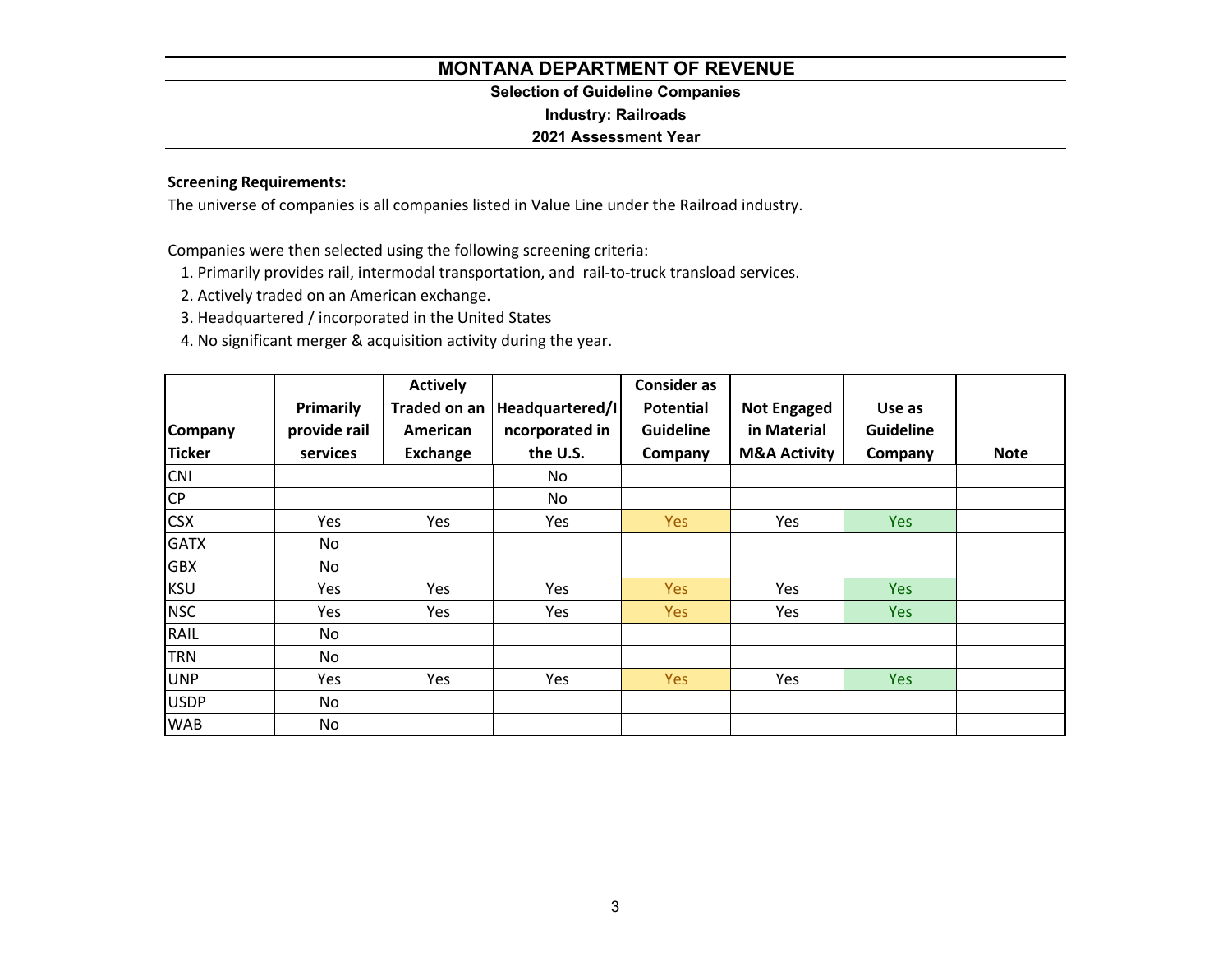# **Selection of Guideline Companies**

**Industry: Railroads**

# **2021 Assessment Year**

# **Screening Requirements:**

The universe of companies is all companies listed in Value Line under the Railroad industry.

Companies were then selected using the following screening criteria:

1. Primarily provides rail, intermodal transportation, and rail‐to‐truck transload services.

2. Actively traded on an American exchange.

3. Headquartered / incorporated in the United States

4. No significant merger & acquisition activity during the year.

|                |              | <b>Actively</b> |                 | <b>Consider as</b> |                         |                  |             |
|----------------|--------------|-----------------|-----------------|--------------------|-------------------------|------------------|-------------|
|                | Primarily    | Traded on an    | Headquartered/I | Potential          | <b>Not Engaged</b>      | Use as           |             |
| <b>Company</b> | provide rail | American        | ncorporated in  | <b>Guideline</b>   | in Material             | <b>Guideline</b> |             |
| <b>Ticker</b>  | services     | Exchange        | the U.S.        | Company            | <b>M&amp;A Activity</b> | Company          | <b>Note</b> |
| <b>CNI</b>     |              |                 | No              |                    |                         |                  |             |
| <b>CP</b>      |              |                 | No              |                    |                         |                  |             |
| <b>CSX</b>     | Yes          | Yes             | Yes             | Yes                | Yes                     | Yes              |             |
| <b>GATX</b>    | No           |                 |                 |                    |                         |                  |             |
| <b>GBX</b>     | No           |                 |                 |                    |                         |                  |             |
| <b>KSU</b>     | Yes          | <b>Yes</b>      | Yes             | Yes                | Yes                     | <b>Yes</b>       |             |
| <b>NSC</b>     | Yes          | Yes             | Yes             | Yes                | Yes                     | <b>Yes</b>       |             |
| RAIL           | No           |                 |                 |                    |                         |                  |             |
| <b>TRN</b>     | No           |                 |                 |                    |                         |                  |             |
| UNP            | Yes          | Yes             | Yes             | Yes                | Yes                     | <b>Yes</b>       |             |
| <b>USDP</b>    | No           |                 |                 |                    |                         |                  |             |
| <b>WAB</b>     | No           |                 |                 |                    |                         |                  |             |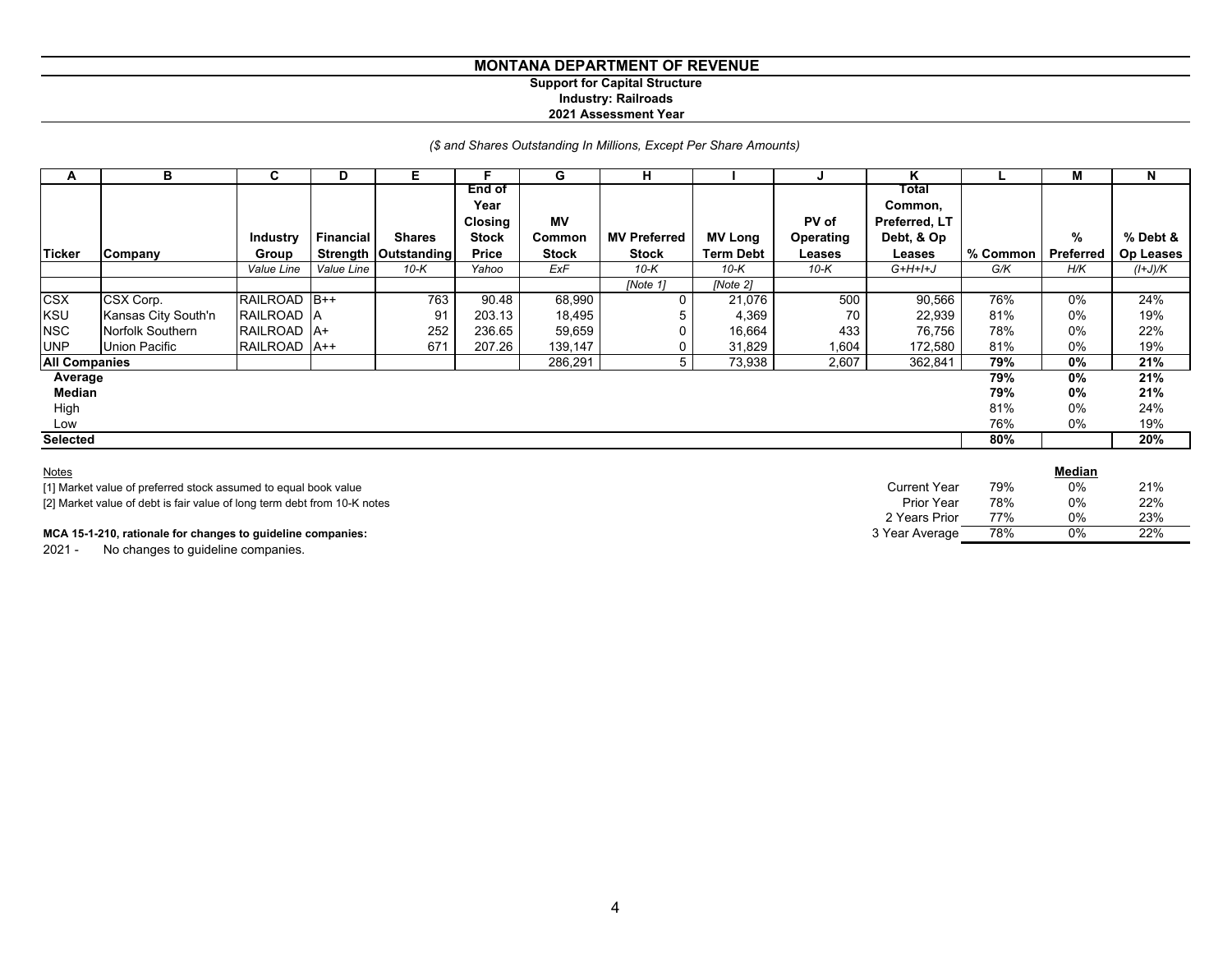## **MONTANA DEPARTMENT OF REVENUE Support for Capital Structure**

# **Industry: Railroads**

#### **2021 Assessment Year**

# *(\$ and Shares Outstanding In Millions, Except Per Share Amounts)*

| A                    | в                   | C               | D          | Е                      |                | G            | н                   |                  |           | n             |          | м                | N                |
|----------------------|---------------------|-----------------|------------|------------------------|----------------|--------------|---------------------|------------------|-----------|---------------|----------|------------------|------------------|
|                      |                     |                 |            |                        | End of         |              |                     |                  |           | Total         |          |                  |                  |
|                      |                     |                 |            |                        | Year           |              |                     |                  |           | Common,       |          |                  |                  |
|                      |                     |                 |            |                        | <b>Closing</b> | <b>MV</b>    |                     |                  | PV of     | Preferred, LT |          |                  |                  |
|                      |                     | <b>Industry</b> | Financial  | <b>Shares</b>          | <b>Stock</b>   | Common       | <b>MV Preferred</b> | <b>MV Long</b>   | Operating | Debt, & Op    |          | %                | % Debt &         |
| <b>Ticker</b>        | Company             | Group           |            | Strength   Outstanding | Price          | <b>Stock</b> | <b>Stock</b>        | <b>Term Debt</b> | Leases    | Leases        | % Common | <b>Preferred</b> | <b>Op Leases</b> |
|                      |                     | Value Line      | Value Line | $10-K$                 | Yahoo          | ExF          | $10-K$              | $10-K$           | 10-K      | $G+H+H+J$     | G/K      | H/K              | $(l+J)/K$        |
|                      |                     |                 |            |                        |                |              | [Note 1]            | [Note 2]         |           |               |          |                  |                  |
| <b>CSX</b>           | CSX Corp.           | RAILROAD B++    |            | 763                    | 90.48          | 68,990       | $\Omega$            | 21,076           | 500       | 90,566        | 76%      | 0%               | 24%              |
| KSU                  | Kansas City South'n | RAILROAD A      |            | 91                     | 203.13         | 18,495       |                     | 4,369            | 70        | 22,939        | 81%      | $0\%$            | 19%              |
| <b>NSC</b>           | Norfolk Southern    | RAILROAD A+     |            | 252                    | 236.65         | 59,659       | 0                   | 16,664           | 433       | 76,756        | 78%      | $0\%$            | 22%              |
| <b>UNP</b>           | Union Pacific       | RAILROAD   A++  |            | 671                    | 207.26         | 139,147      | 0                   | 31,829           | 1,604     | 172,580       | 81%      | $0\%$            | 19%              |
| <b>All Companies</b> |                     |                 |            |                        |                | 286,291      | 5 I                 | 73,938           | 2,607     | 362,841       | 79%      | 0%               | 21%              |
| Average              |                     |                 |            |                        |                |              |                     |                  |           |               | 79%      | $0\%$            | 21%              |
| Median               |                     |                 |            |                        |                |              |                     |                  |           |               | 79%      | $0\%$            | 21%              |
| High                 |                     |                 |            |                        |                |              |                     |                  |           |               | 81%      | $0\%$            | 24%              |
| Low                  |                     |                 |            |                        |                |              |                     |                  |           |               | 76%      | $0\%$            | 19%              |
| <b>Selected</b>      |                     |                 |            |                        |                |              |                     |                  |           |               | 80%      |                  | 20%              |
|                      |                     |                 |            |                        |                |              |                     |                  |           |               |          |                  |                  |

| <b>Notes</b>                                                             |                     |     | Median |     |
|--------------------------------------------------------------------------|---------------------|-----|--------|-----|
| [1] Market value of preferred stock assumed to equal book value          | <b>Current Year</b> | 79% | 0%     | 21% |
| [2] Market value of debt is fair value of long term debt from 10-K notes | Prior Year          | 78% | 0%     | 22% |
|                                                                          | 2 Years Prior       | 77% | 0%     | 23% |
| MCA 15-1-210, rationale for changes to guideline companies:              | 3 Year Average      | 78% | 0%     | 22% |

2021 - No changes to guideline companies.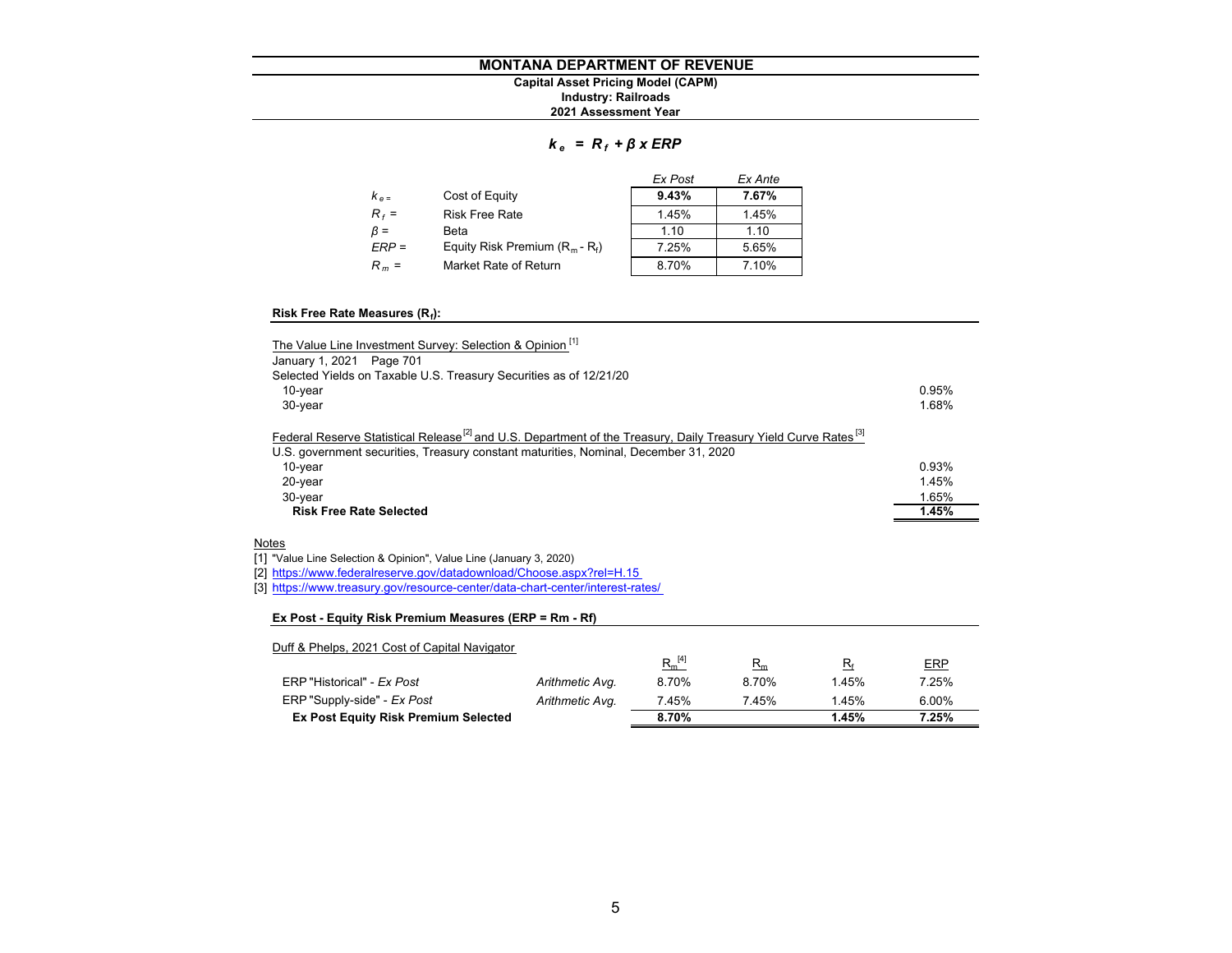## **MONTANA DEPARTMENT OF REVENUEIndustry: Railroads Capital Asset Pricing Model (CAPM)**

**2021 Assessment Year**

# *k <sup>e</sup>= R <sup>f</sup><sup>+</sup>β x ERP*

|           |                                   | Ex Post | Ex Ante |
|-----------|-----------------------------------|---------|---------|
| $k_{e}$   | Cost of Equity                    | 9.43%   | 7.67%   |
| $R_f =$   | <b>Risk Free Rate</b>             | 1.45%   | 1.45%   |
| $\beta =$ | Beta                              | 110     | 1.10    |
| $ERP =$   | Equity Risk Premium $(R_m - R_f)$ | 7.25%   | 5.65%   |
| $R_m =$   | Market Rate of Return             | 8.70%   | 7.10%   |

#### **Risk Free Rate Measures (Rf):**

| The Value Line Investment Survey: Selection & Opinion <sup>[1]</sup>                                                                                                                                                            |       |
|---------------------------------------------------------------------------------------------------------------------------------------------------------------------------------------------------------------------------------|-------|
| January 1, 2021 Page 701                                                                                                                                                                                                        |       |
| Selected Yields on Taxable U.S. Treasury Securities as of 12/21/20                                                                                                                                                              |       |
| $10$ -year                                                                                                                                                                                                                      | 0.95% |
| $30$ -year                                                                                                                                                                                                                      | 1.68% |
| Federal Reserve Statistical Release <sup>[2]</sup> and U.S. Department of the Treasury, Daily Treasury Yield Curve Rates <sup>[3]</sup><br>U.S. government securities, Treasury constant maturities, Nominal, December 31, 2020 |       |
| 10-year                                                                                                                                                                                                                         | 0.93% |
| $20$ -year                                                                                                                                                                                                                      | 1.45% |
| 30-year                                                                                                                                                                                                                         | 1.65% |
| <b>Risk Free Rate Selected</b>                                                                                                                                                                                                  | 1.45% |

#### <u>Notes</u>

[1] "Value Line Selection & Opinion", Value Line (January 3, 2020)

[2] https://www.federalreserve.gov/datadownload/Choose.aspx?rel=H.15

[3] https://www.treasury.gov/resource-center/data-chart-center/interest-rates/

#### **Ex Post - Equity Risk Premium Measures (ERP = Rm - Rf)**

| Duff & Phelps, 2021 Cost of Capital Navigator |                 |             |       |       |            |
|-----------------------------------------------|-----------------|-------------|-------|-------|------------|
|                                               |                 | $R_m^{[4]}$ | $R_m$ | $R_f$ | <b>ERP</b> |
| ERP "Historical" - Ex Post                    | Arithmetic Avg. | 8.70%       | 8.70% | 1.45% | 7.25%      |
| ERP "Supply-side" - Ex Post                   | Arithmetic Avg. | 7.45%       | 7.45% | 1.45% | 6.00%      |
| <b>Ex Post Equity Risk Premium Selected</b>   |                 | 8.70%       |       | 1.45% | 7.25%      |
|                                               |                 |             |       |       |            |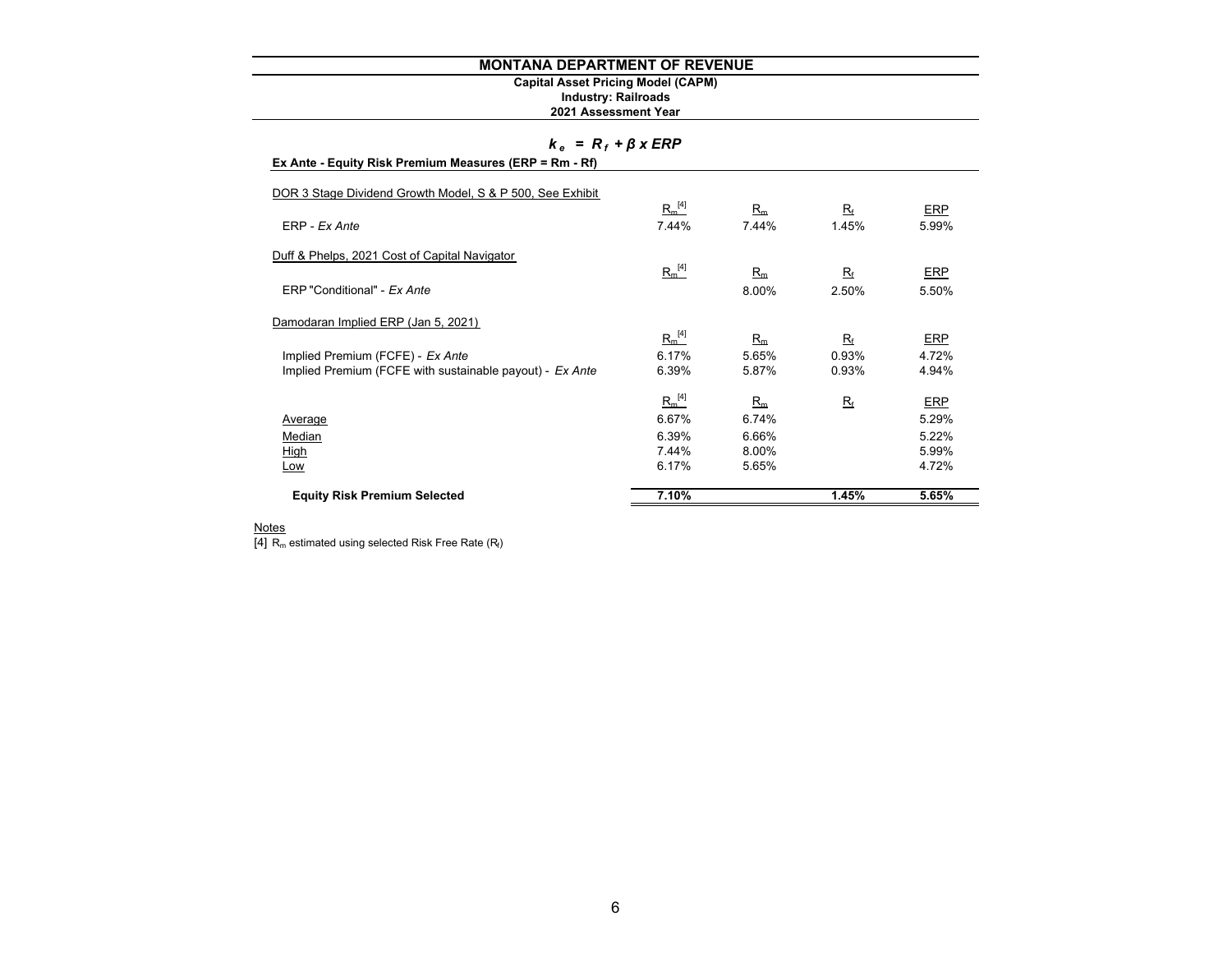# **Capital Asset Pricing Model (CAPM)**

#### **2021 Assessment Year Industry: Railroads**

# *k <sup>e</sup>= R <sup>f</sup><sup>+</sup>β x ERP*

| <b>Equity Risk Premium Selected</b>                       | 7.10%          |                | 1.45%       | 5.65%          |
|-----------------------------------------------------------|----------------|----------------|-------------|----------------|
| Low                                                       |                |                |             |                |
| <b>High</b>                                               | 7.44%<br>6.17% | 8.00%<br>5.65% |             | 5.99%<br>4.72% |
| Median                                                    | 6.39%          | 6.66%          |             | 5.22%          |
| Average                                                   | 6.67%          | 6.74%          |             | 5.29%          |
|                                                           | $R_m^{[4]}$    | $R_m$          | $R_{\rm f}$ | ERP            |
| Implied Premium (FCFE with sustainable payout) - Ex Ante  | 6.39%          | 5.87%          | 0.93%       | 4.94%          |
| Implied Premium (FCFE) - Ex Ante                          | 6.17%          | 5.65%          | 0.93%       | 4.72%          |
|                                                           | $R_m^{[4]}$    | $R_m$          | $R_{\rm f}$ | ERP            |
| Damodaran Implied ERP (Jan 5, 2021)                       |                |                |             |                |
| ERP "Conditional" - Ex Ante                               |                | 8.00%          | 2.50%       | 5.50%          |
|                                                           | $R_m^{[4]}$    | $R_m$          | $R_{\rm f}$ | <b>ERP</b>     |
| Duff & Phelps, 2021 Cost of Capital Navigator             |                |                |             |                |
| ERP - Ex Ante                                             | 7.44%          | 7.44%          | 1.45%       | 5.99%          |
| DOR 3 Stage Dividend Growth Model, S & P 500, See Exhibit | $R_m^{[4]}$    | $R_m$          | $R_{\rm f}$ | <b>ERP</b>     |
|                                                           |                |                |             |                |

<u>Notes</u><br>[4] R<sub>m</sub> estimated using selected Risk Free Rate (R<sub>t</sub>)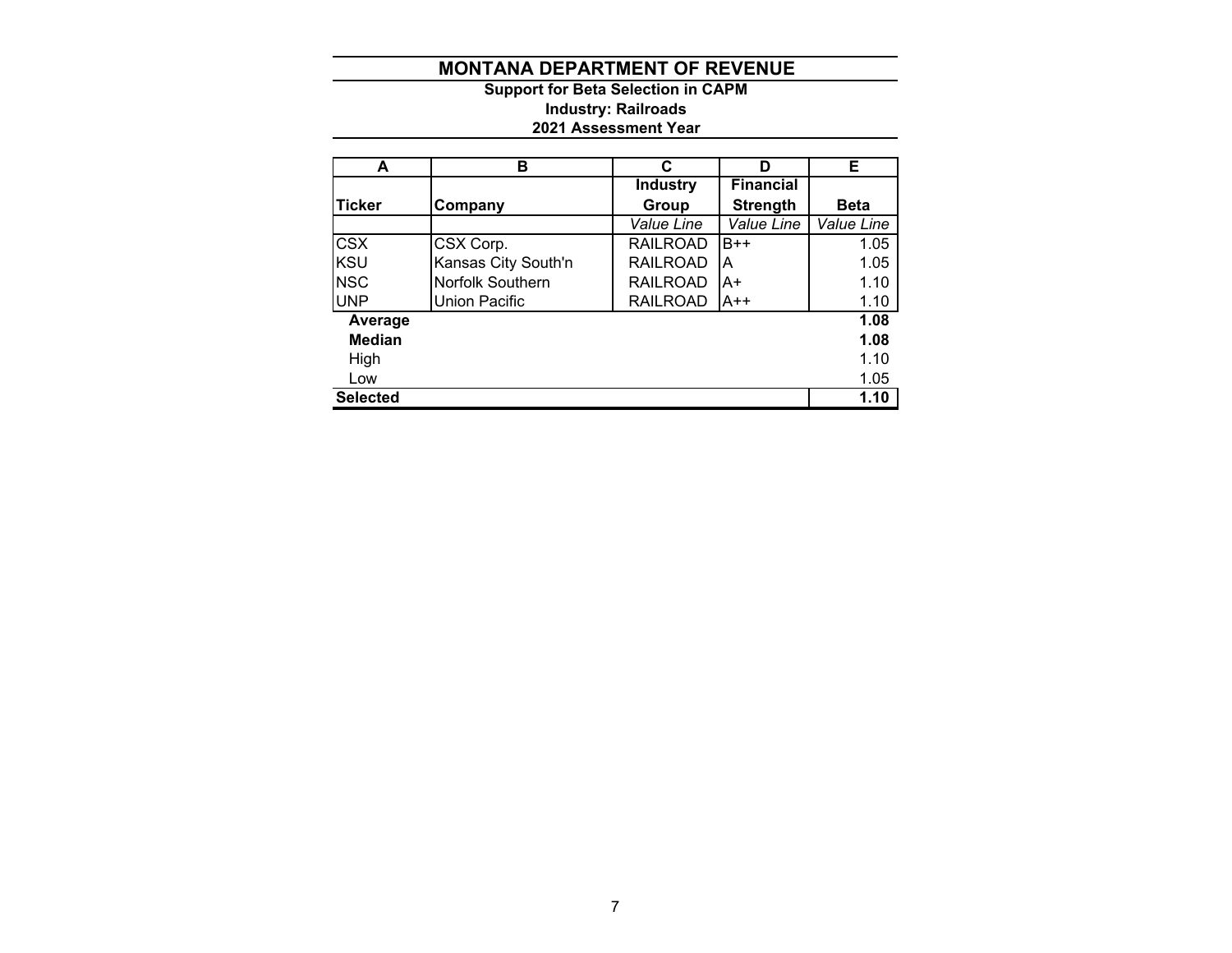**2021 Assessment Year Industry: Railroads Support for Beta Selection in CAPM**

| A               | в                       | C               | D                | E.          |
|-----------------|-------------------------|-----------------|------------------|-------------|
|                 |                         | <b>Industry</b> | <b>Financial</b> |             |
| <b>Ticker</b>   | Company                 | Group           | <b>Strength</b>  | <b>Beta</b> |
|                 |                         | Value Line      | Value Line       | Value Line  |
| <b>CSX</b>      | CSX Corp.               | <b>RAILROAD</b> | $B++$            | 1.05        |
| <b>KSU</b>      | Kansas City South'n     | <b>RAILROAD</b> | А                | 1.05        |
| <b>NSC</b>      | <b>Norfolk Southern</b> | <b>RAILROAD</b> | A+               | 1.10        |
| <b>UNP</b>      | Union Pacific           | <b>RAILROAD</b> | A++              | 1.10        |
| Average         |                         |                 |                  | 1.08        |
| <b>Median</b>   |                         |                 |                  | 1.08        |
| High            |                         |                 |                  | 1.10        |
| Low             |                         |                 |                  | 1.05        |
| <b>Selected</b> |                         |                 |                  | 1.10        |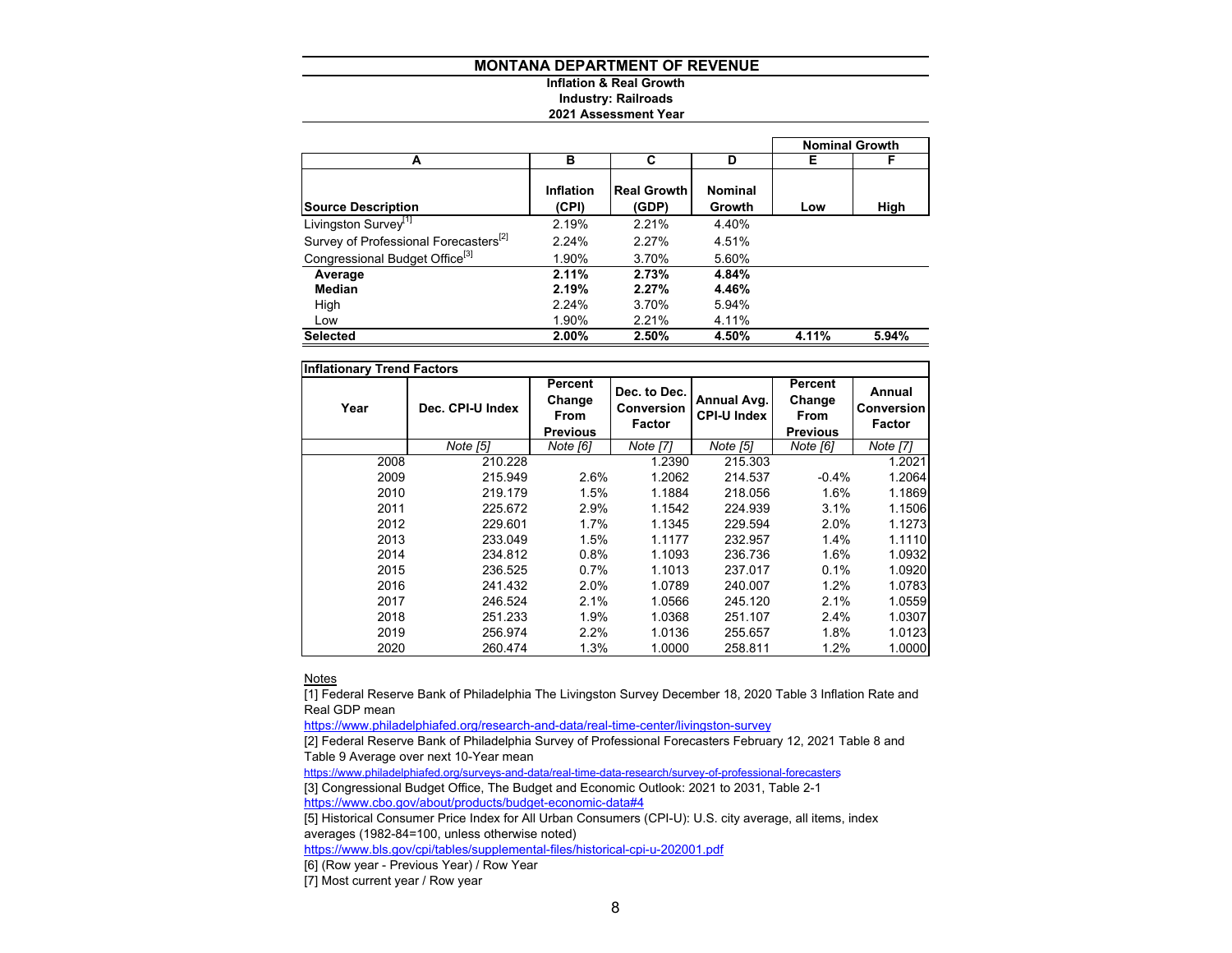#### **Inflation & Real Growth Industry: Railroads**

#### **2021 Assessment Year**

|                                                   |                           |                             |                          | <b>Nominal Growth</b> |       |
|---------------------------------------------------|---------------------------|-----------------------------|--------------------------|-----------------------|-------|
| A                                                 | в                         | C                           | D                        | Е                     | F     |
| <b>Source Description</b>                         | <b>Inflation</b><br>(CPI) | <b>Real Growth</b><br>(GDP) | <b>Nominal</b><br>Growth | Low                   | High  |
| Livingston Survey <sup>[1]</sup>                  | 2.19%                     | 2.21%                       | 4.40%                    |                       |       |
| Survey of Professional Forecasters <sup>[2]</sup> | 2.24%                     | 2.27%                       | 4.51%                    |                       |       |
| Congressional Budget Office <sup>[3]</sup>        | 1.90%                     | 3.70%                       | 5.60%                    |                       |       |
| Average                                           | 2.11%                     | 2.73%                       | 4.84%                    |                       |       |
| Median                                            | 2.19%                     | 2.27%                       | 4.46%                    |                       |       |
| High                                              | 2.24%                     | 3.70%                       | 5.94%                    |                       |       |
| Low                                               | 1.90%                     | 2.21%                       | 4.11%                    |                       |       |
| <b>Selected</b>                                   | 2.00%                     | 2.50%                       | 4.50%                    | 4.11%                 | 5.94% |

| <b>Inflationary Trend Factors</b> |                  |                                                     |                                                    |                                   |                                                     |                                              |  |  |  |  |  |  |  |
|-----------------------------------|------------------|-----------------------------------------------------|----------------------------------------------------|-----------------------------------|-----------------------------------------------------|----------------------------------------------|--|--|--|--|--|--|--|
| Year                              | Dec. CPI-U Index | Percent<br>Change<br><b>From</b><br><b>Previous</b> | Dec. to Dec.<br><b>Conversion</b><br><b>Factor</b> | Annual Avg.<br><b>CPI-U Index</b> | Percent<br>Change<br><b>From</b><br><b>Previous</b> | Annual<br><b>Conversion</b><br><b>Factor</b> |  |  |  |  |  |  |  |
|                                   | Note [5]         | Note [6]                                            | Note [7]                                           | Note [5]                          | Note [6]                                            | Note [7]                                     |  |  |  |  |  |  |  |
| 2008                              | 210.228          |                                                     | 1.2390                                             | 215.303                           |                                                     | 1.2021                                       |  |  |  |  |  |  |  |
| 2009                              | 215.949          | 2.6%                                                | 1.2062                                             | 214.537                           | $-0.4%$                                             | 1.2064                                       |  |  |  |  |  |  |  |
| 2010                              | 219.179          | 1.5%                                                | 1.1884                                             | 218.056                           | 1.6%                                                | 1.1869                                       |  |  |  |  |  |  |  |
| 2011                              | 225.672          | 2.9%                                                | 1.1542                                             | 224.939                           | 3.1%                                                | 1.1506                                       |  |  |  |  |  |  |  |
| 2012                              | 229.601          | $1.7\%$                                             | 1.1345                                             | 229.594                           | 2.0%                                                | 1.1273                                       |  |  |  |  |  |  |  |
| 2013                              | 233.049          | 1.5%                                                | 1.1177                                             | 232.957                           | 1.4%                                                | 1.1110                                       |  |  |  |  |  |  |  |
| 2014                              | 234.812          | 0.8%                                                | 1.1093                                             | 236.736                           | 1.6%                                                | 1.0932                                       |  |  |  |  |  |  |  |
| 2015                              | 236.525          | $0.7\%$                                             | 1.1013                                             | 237.017                           | 0.1%                                                | 1.0920                                       |  |  |  |  |  |  |  |
| 2016                              | 241.432          | 2.0%                                                | 1.0789                                             | 240.007                           | 1.2%                                                | 1.0783                                       |  |  |  |  |  |  |  |
| 2017                              | 246.524          | 2.1%                                                | 1.0566                                             | 245.120                           | 2.1%                                                | 1.0559                                       |  |  |  |  |  |  |  |
| 2018                              | 251.233          | 1.9%                                                | 1.0368                                             | 251.107                           | 2.4%                                                | 1.0307                                       |  |  |  |  |  |  |  |
| 2019                              | 256.974          | 2.2%                                                | 1.0136                                             | 255.657                           | 1.8%                                                | 1.0123                                       |  |  |  |  |  |  |  |
| 2020                              | 260.474          | 1.3%                                                | 1.0000                                             | 258.811                           | 1.2%                                                | 1.0000                                       |  |  |  |  |  |  |  |

<u>Notes</u>

[1] Federal Reserve Bank of Philadelphia The Livingston Survey December 18, 2020 Table 3 Inflation Rate and Real GDP mean

https://www.philadelphiafed.org/research-and-data/real-time-center/livingston-survey

[2] Federal Reserve Bank of Philadelphia Survey of Professional Forecasters February 12, 2021 Table 8 and Table 9 Average over next 10-Year mean

https://www.philadelphiafed.org/surveys-and-data/real-time-data-research/survey-of-professional-forecasters

[3] Congressional Budget Office, The Budget and Economic Outlook: 2021 to 2031, Table 2-1

https://www.cbo.gov/about/products/budget-economic-data#4

[5] Historical Consumer Price Index for All Urban Consumers (CPI-U): U.S. city average, all items, index averages (1982-84=100, unless otherwise noted)

https://www.bls.gov/cpi/tables/supplemental-files/historical-cpi-u-202001.pdf

[6] (Row year - Previous Year) / Row Year

[7] Most current year / Row year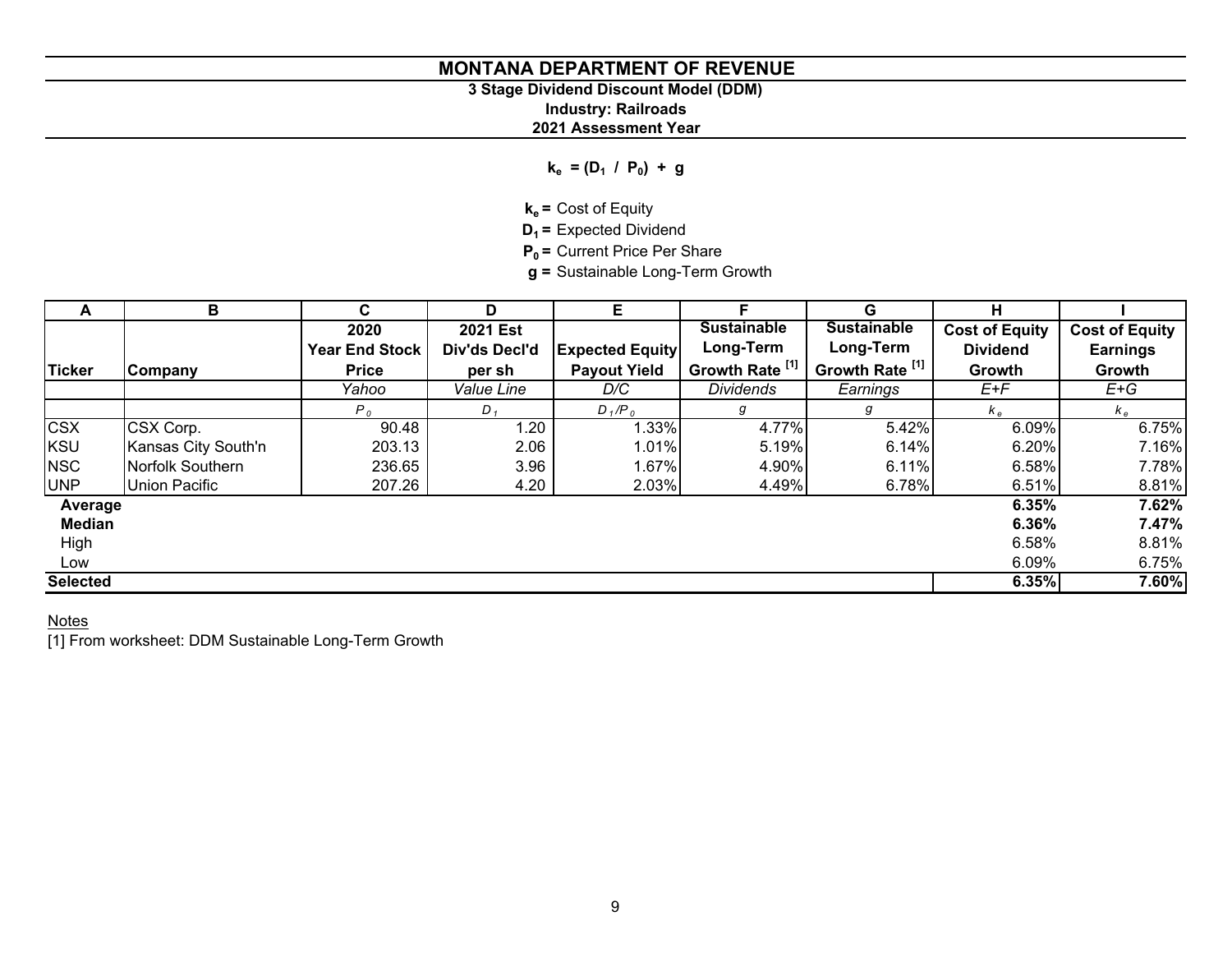# **3 Stage Dividend Discount Model (DDM)**

**Industry: Railroads**

# **2021 Assessment Year**

 $k_e = (D_1 / P_0) + g$ 

**ke =** Cost of Equity

**D<sub>1</sub>** = Expected Dividend

**P<sub>0</sub>** = Current Price Per Share

**g =** Sustainable Long-Term Growth

| A               | в                    | C.                    | D               | Е                      | F.                         | G                  | н                     |                       |
|-----------------|----------------------|-----------------------|-----------------|------------------------|----------------------------|--------------------|-----------------------|-----------------------|
|                 |                      | 2020                  | <b>2021 Est</b> |                        | <b>Sustainable</b>         | <b>Sustainable</b> | <b>Cost of Equity</b> | <b>Cost of Equity</b> |
|                 |                      | <b>Year End Stock</b> | Div'ds Decl'd   | <b>Expected Equity</b> | Long-Term                  | Long-Term          | <b>Dividend</b>       | <b>Earnings</b>       |
| <b>Ticker</b>   | Company              | <b>Price</b>          | per sh          | <b>Payout Yield</b>    | Growth Rate <sup>[1]</sup> | Growth Rate [1]    | Growth                | Growth                |
|                 |                      | Yahoo                 | Value Line      | D/C                    | <b>Dividends</b>           | Earnings           | E+F                   | E+G                   |
|                 |                      | P <sub>0</sub>        | $D_{1}$         | $D_1/P_0$              | g                          | g                  | $k_e$                 | $k_e$                 |
| <b>CSX</b>      | CSX Corp.            | 90.48                 | 1.20            | 1.33%                  | 4.77%                      | 5.42%              | 6.09%                 | 6.75%                 |
| <b>KSU</b>      | Kansas City South'n  | 203.13                | 2.06            | 1.01%                  | 5.19%                      | 6.14%              | 6.20%                 | 7.16%                 |
| <b>NSC</b>      | Norfolk Southern     | 236.65                | 3.96            | 1.67%                  | 4.90%                      | 6.11%              | 6.58%                 | 7.78%                 |
| <b>UNP</b>      | <b>Union Pacific</b> | 207.26                | 4.20            | 2.03%                  | 4.49%                      | 6.78%              | 6.51%                 | 8.81%                 |
| Average         |                      |                       |                 |                        |                            |                    | 6.35%                 | 7.62%                 |
| <b>Median</b>   |                      |                       |                 |                        |                            |                    | 6.36%                 | 7.47%                 |
| High            |                      |                       |                 |                        |                            |                    | 6.58%                 | 8.81%                 |
| Low             |                      |                       |                 |                        |                            |                    | 6.09%                 | 6.75%                 |
| <b>Selected</b> |                      |                       |                 |                        |                            |                    | 6.35%                 | 7.60%                 |

# <u>Notes</u>

[1] From worksheet: DDM Sustainable Long-Term Growth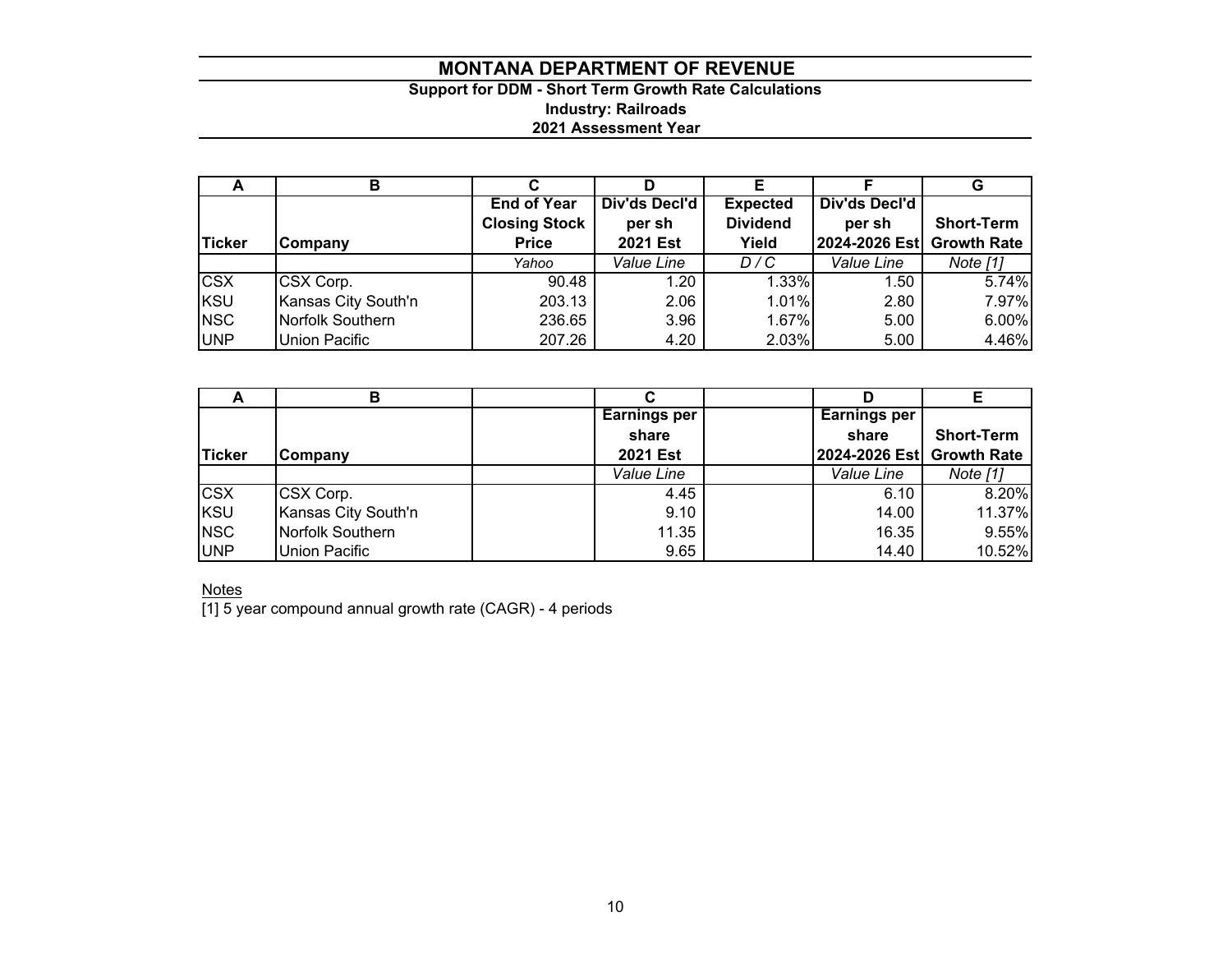# **Support for DDM - Short Term Growth Rate Calculations Industry: Railroads 2021 Assessment Year**

| $\ddot{\phantom{1}}$ | в                    |                      |               |                 |                           | G                 |
|----------------------|----------------------|----------------------|---------------|-----------------|---------------------------|-------------------|
|                      |                      | <b>End of Year</b>   | Div'ds Decl'd | <b>Expected</b> | Div'ds Decl'd             |                   |
|                      |                      | <b>Closing Stock</b> | per sh        | <b>Dividend</b> | per sh                    | <b>Short-Term</b> |
| <b>Ticker</b>        | <b>Company</b>       | <b>Price</b>         | 2021 Est      | Yield           | 2024-2026 Est Growth Rate |                   |
|                      |                      | Yahoo                | Value Line    | D/C             | Value Line                | Note [1]          |
| <b>CSX</b>           | CSX Corp.            | 90.48                | 1.20          | 1.33%           | 1.50                      | 5.74%             |
| <b>KSU</b>           | Kansas City South'n  | 203.13               | 2.06          | 1.01%           | 2.80                      | 7.97%             |
| <b>NSC</b>           | Norfolk Southern     | 236.65               | 3.96          | 1.67%           | 5.00                      | 6.00%             |
| <b>UNP</b>           | <b>Union Pacific</b> | 207.26               | 4.20          | 2.03%           | 5.00                      | 4.46%             |

| $\overline{\phantom{a}}$ | в                    |                     |                           |                   |
|--------------------------|----------------------|---------------------|---------------------------|-------------------|
|                          |                      | <b>Earnings per</b> | Earnings per              |                   |
|                          |                      | share               | share                     | <b>Short-Term</b> |
| <b>Ticker</b>            | Company              | <b>2021 Est</b>     | 2024-2026 Est Growth Rate |                   |
|                          |                      | Value Line          | Value Line                | Note [1]          |
| <b>CSX</b>               | CSX Corp.            | 4.45                | 6.10                      | 8.20%             |
| <b>KSU</b>               | Kansas City South'n  | 9.10                | 14.00                     | 11.37%            |
| <b>NSC</b>               | Norfolk Southern     | 11.35               | 16.35                     | 9.55%             |
| <b>UNP</b>               | <b>Union Pacific</b> | 9.65                | 14.40                     | 10.52%            |

<u>Notes</u>

[1] 5 year compound annual growth rate (CAGR) - 4 periods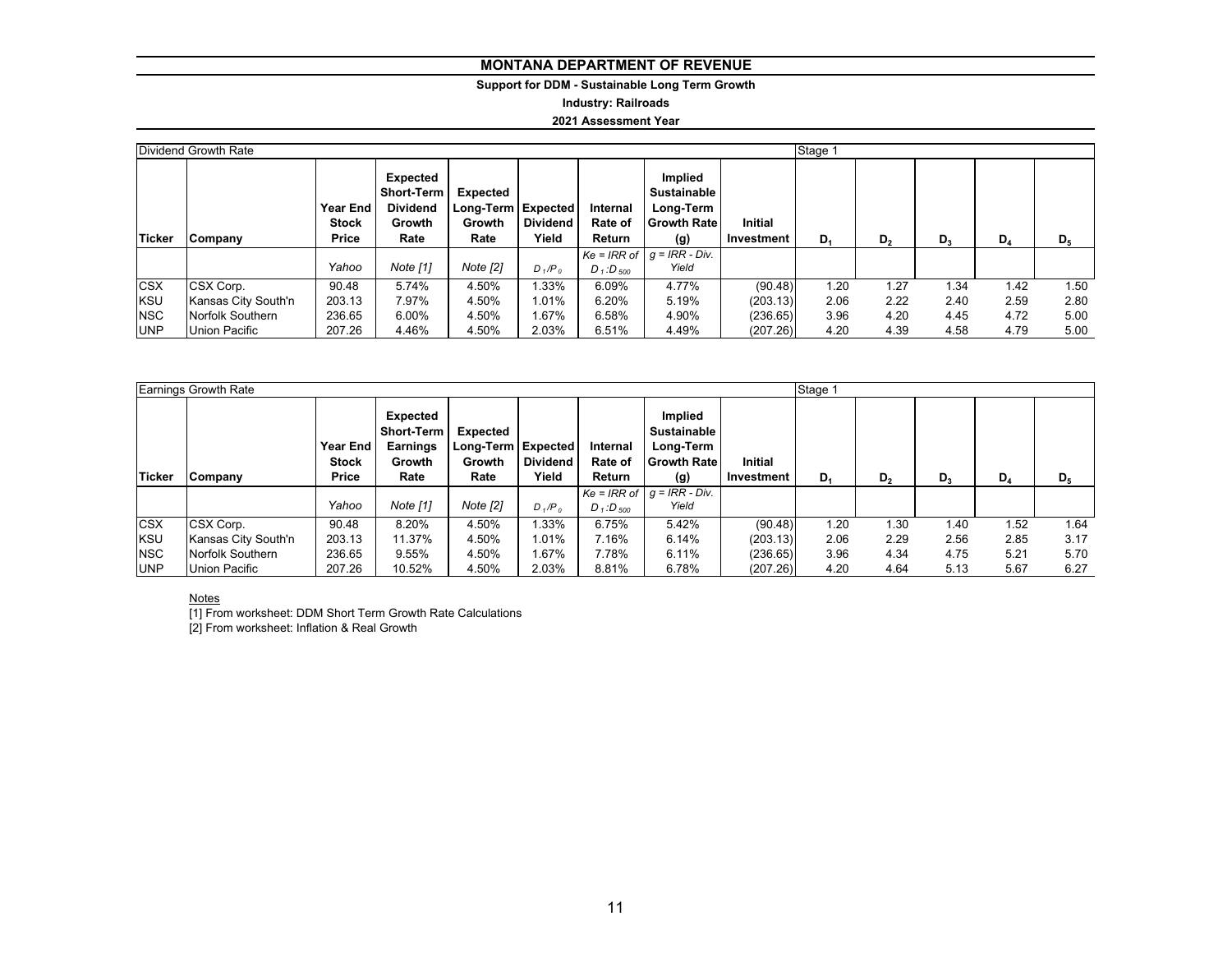# **Support for DDM - Sustainable Long Term Growth**

**Industry: Railroads**

#### **2021 Assessment Year**

|            | Dividend Growth Rate | Stage 1 |                                                                                |                                                  |                   |                               |                                                                    |                              |       |                |       |       |                |
|------------|----------------------|---------|--------------------------------------------------------------------------------|--------------------------------------------------|-------------------|-------------------------------|--------------------------------------------------------------------|------------------------------|-------|----------------|-------|-------|----------------|
| Ticker     | Company              |         | Expected<br><b>Short-Term</b><br><b>Dividend</b><br>Year End<br>Growth<br>Rate | Expected<br>Long-Term Expected<br>Growth<br>Rate | Dividend<br>Yield | Internal<br>Rate of<br>Return | Implied<br><b>Sustainable</b><br>Long-Term<br>l Growth Rate<br>(g) | <b>Initial</b><br>Investment | $D_1$ | D <sub>2</sub> | $D_3$ | $D_4$ | D <sub>5</sub> |
|            |                      | Yahoo   | Note [1]                                                                       | Note [2]                                         | $D_1/P_0$         | $D_1$ : $D_{500}$             | $Ke = IRR$ of $g = IRR - Div.$<br>Yield                            |                              |       |                |       |       |                |
|            |                      |         |                                                                                |                                                  |                   |                               |                                                                    |                              |       |                |       |       |                |
| <b>CSX</b> | CSX Corp.            | 90.48   | 5.74%                                                                          | 4.50%                                            | 1.33%             | 6.09%                         | 4.77%                                                              | (90.48)                      | 1.20  | 1.27           | 1.34  | 1.42  | 1.50           |
| <b>KSU</b> | Kansas City South'n  | 203.13  | 7.97%                                                                          | 4.50%                                            | 1.01%             | 6.20%                         | 5.19%                                                              | (203.13)                     | 2.06  | 2.22           | 2.40  | 2.59  | 2.80           |
| <b>NSC</b> | Norfolk Southern     | 236.65  | 6.00%                                                                          | 4.50%                                            | 1.67%             | 6.58%                         | 4.90%                                                              | (236.65)                     | 3.96  | 4.20           | 4.45  | 4.72  | 5.00           |
| <b>UNP</b> | Union Pacific        | 207.26  | 4.46%                                                                          | 4.50%                                            | 2.03%             | 6.51%                         | 4.49%                                                              | (207.26)                     | 4.20  | 4.39           | 4.58  | 4.79  | 5.00           |

|                          | <b>Earnings Growth Rate</b> |                                   | Stage 1                                              |                                                      |                          |                                  |                                                                         |                              |       |                |       |       |       |
|--------------------------|-----------------------------|-----------------------------------|------------------------------------------------------|------------------------------------------------------|--------------------------|----------------------------------|-------------------------------------------------------------------------|------------------------------|-------|----------------|-------|-------|-------|
| <b>Ticker</b><br>Company |                             | Year End<br><b>Stock</b><br>Price | Expected<br>Short-Term<br>Earnings<br>Growth<br>Rate | Expected<br>Long-Term   Expected  <br>Growth<br>Rate | <b>Dividend</b><br>Yield | Internal<br>Rate of<br>Return    | Implied<br><b>Sustainable</b><br>Long-Term<br><b>Growth Rate</b><br>(g) | <b>Initial</b><br>Investment | $D_4$ | D <sub>2</sub> | $D_3$ | $D_4$ | $D_5$ |
|                          |                             | Yahoo                             | Note [1]                                             | Note [2]                                             | $D_1/P_0$                | D <sub>1</sub> :D <sub>500</sub> | $Ke = IRR$ of $ g = IRR - Div.$<br>Yield                                |                              |       |                |       |       |       |
| <b>CSX</b>               | CSX Corp.                   | 90.48                             | 8.20%                                                | 4.50%                                                | 1.33%                    | 6.75%                            | 5.42%                                                                   | (90.48)                      | 1.20  | 1.30           | 1.40  | 1.52  | 1.64  |
| <b>KSU</b>               | Kansas City South'n         | 203.13                            | 11.37%                                               | 4.50%                                                | 1.01%                    | 7.16%                            | 6.14%                                                                   | (203.13)                     | 2.06  | 2.29           | 2.56  | 2.85  | 3.17  |
| <b>NSC</b>               | Norfolk Southern            | 236.65                            | 9.55%                                                | 4.50%                                                | .67%                     | 7.78%                            | 6.11%                                                                   | (236.65)                     | 3.96  | 4.34           | 4.75  | 5.21  | 5.70  |
| <b>UNP</b>               | Union Pacific               | 207.26                            | 10.52%                                               | 4.50%                                                | 2.03%                    | 8.81%                            | 6.78%                                                                   | (207.26)                     | 4.20  | 4.64           | 5.13  | 5.67  | 6.27  |

#### Notes

[1] From worksheet: DDM Short Term Growth Rate Calculations

[2] From worksheet: Inflation & Real Growth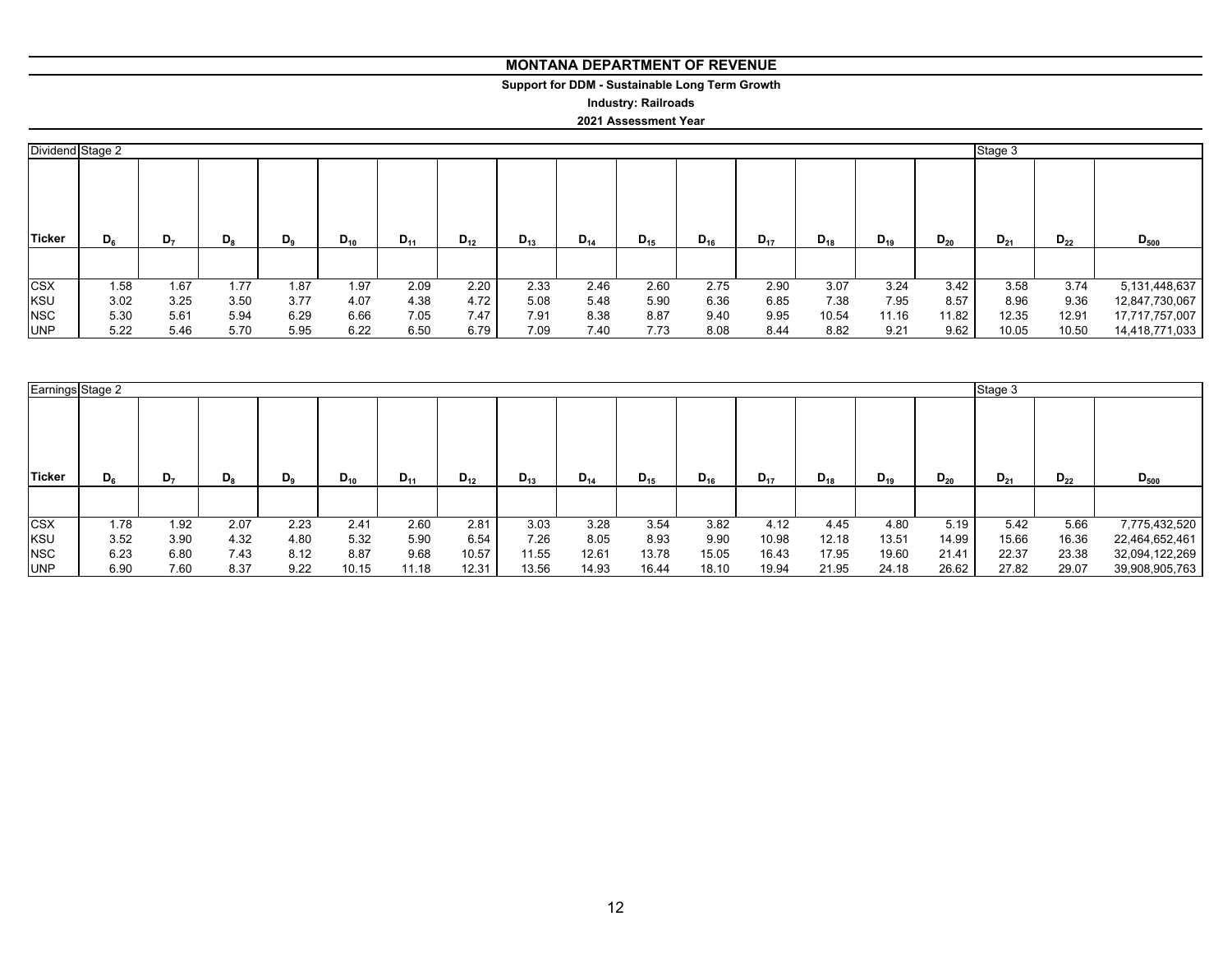# **Support for DDM - Sustainable Long Term Growth**

**Industry: Railroads**

#### **2021 Assessment Year**

|            | Dividend Stage 2 |                |       |                |          |          |          |          |          |          |          |          | Stage 3  |          |          |          |          |                |
|------------|------------------|----------------|-------|----------------|----------|----------|----------|----------|----------|----------|----------|----------|----------|----------|----------|----------|----------|----------------|
| Ticker     | $D_6$            | D <sub>7</sub> | $D_8$ | D <sub>9</sub> | $D_{10}$ | $D_{11}$ | $D_{12}$ | $D_{13}$ | $D_{14}$ | $D_{15}$ | $D_{16}$ | $D_{17}$ | $D_{18}$ | $D_{19}$ | $D_{20}$ | $D_{21}$ | $D_{22}$ | $D_{500}$      |
| <b>CSX</b> | 1.58             | 1.67           | 1.77  | 1.87           | 1.97     | 2.09     | 2.20     | 2.33     | 2.46     | 2.60     | 2.75     | 2.90     | 3.07     | 3.24     | 3.42     | 3.58     | 3.74     | 5,131,448,637  |
| <b>KSU</b> | 3.02             | 3.25           | 3.50  | 3.77           | 4.07     | 4.38     | 4.72     | 5.08     | 5.48     | 5.90     | 6.36     | 6.85     | 7.38     | 7.95     | 8.57     | 8.96     | 9.36     | 12,847,730,067 |
| <b>NSC</b> | 5.30             | 5.61           | 5.94  | 6.29           | 6.66     | 7.05     | 7.47     | 7.91     | 8.38     | 8.87     | 9.40     | 9.95     | 10.54    | 11.16    | 11.82    | 12.35    | 12.91    | 17,717,757,007 |
| <b>UNP</b> | 5.22             | 5.46           | 5.70  | 5.95           | 6.22     | 6.50     | 6.79     | 7.09     | 7.40     | 7.73     | 8.08     | 8.44     | 8.82     | 9.21     | 9.62     | 10.05    | 10.50    | 14,418,771,033 |

|            | Earnings Stage 2 |      |         |       |          |          |          |          |          |          |          |          |          | Stage 3  |          |          |          |                |
|------------|------------------|------|---------|-------|----------|----------|----------|----------|----------|----------|----------|----------|----------|----------|----------|----------|----------|----------------|
| Ticker     | $D_{6}$          | D,   | $D_{8}$ | $D_9$ | $D_{10}$ | $D_{11}$ | $D_{12}$ | $D_{13}$ | $D_{14}$ | $D_{15}$ | $D_{16}$ | $D_{17}$ | $D_{18}$ | $D_{19}$ | $D_{20}$ | $D_{21}$ | $D_{22}$ | $D_{500}$      |
|            |                  |      |         |       |          |          |          |          |          |          |          |          |          |          |          |          |          |                |
| <b>CSX</b> | .78              | 1.92 | 2.07    | 2.23  | 2.41     | 2.60     | 2.81     | 3.03     | 3.28     | 3.54     | 3.82     | 4.12     | 4.45     | 4.80     | 5.19     | 5.42     | 5.66     | 7,775,432,520  |
| KSU        | 3.52             | 3.90 | 4.32    | 4.80  | 5.32     | 5.90     | 6.54     | 7.26     | 8.05     | 8.93     | 9.90     | 10.98    | 12.18    | 13.51    | 14.99    | 15.66    | 16.36    | 22,464,652,461 |
| <b>NSC</b> | 6.23             | 6.80 | 7.43    | 8.12  | 8.87     | 9.68     | 10.57    | 11.55    | 12.61    | 13.78    | 15.05    | 16.43    | 17.95    | 19.60    | 21.41    | 22.37    | 23.38    | 32,094,122,269 |
| <b>UNP</b> | 6.90             | 7.60 | 8.37    | 9.22  | 10.15    | 11.18    | 12.31    | 13.56    | 14.93    | 16.44    | 18.10    | 19.94    | 21.95    | 24.18    | 26.62    | 27.82    | 29.07    | 39,908,905,763 |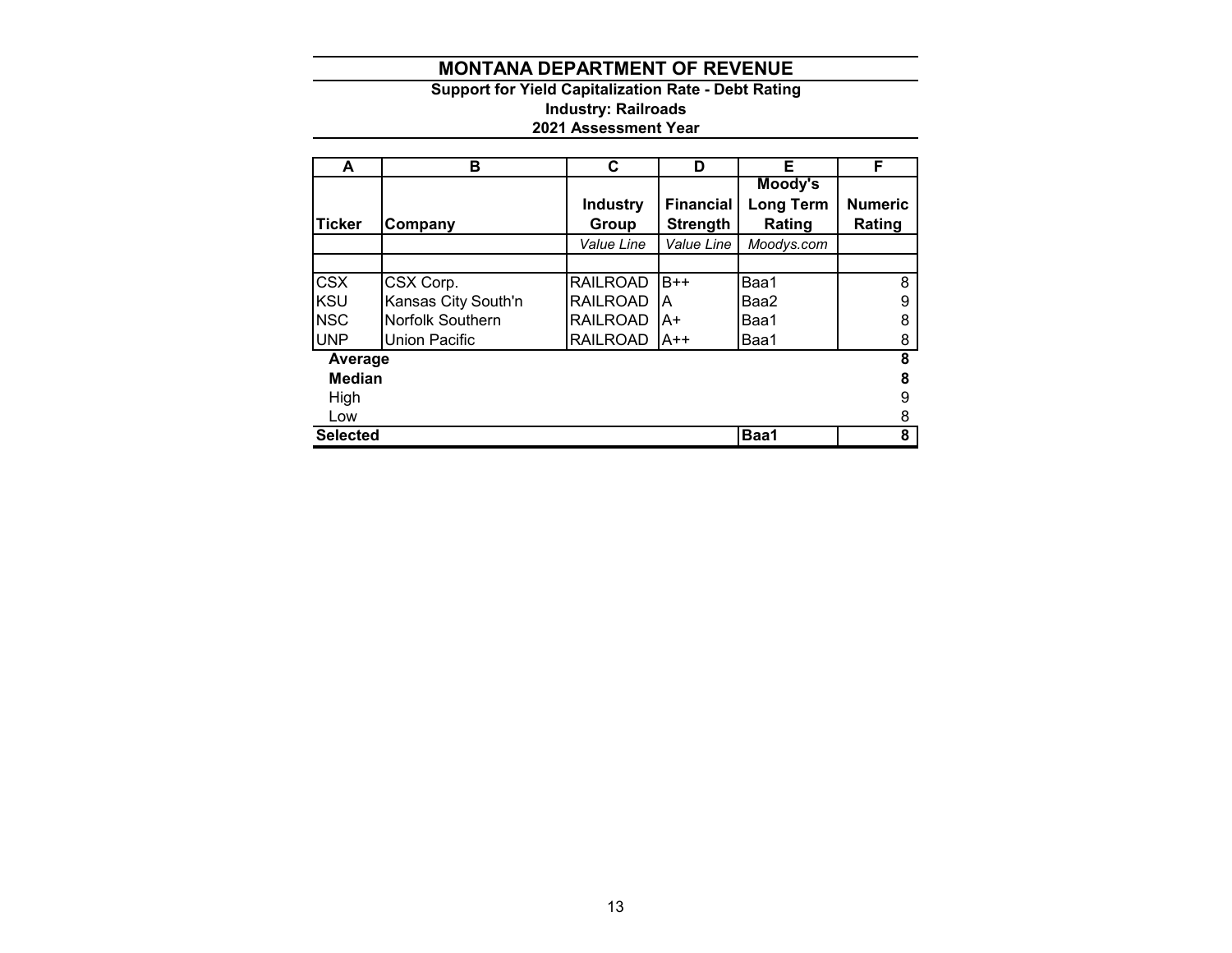# **Support for Yield Capitalization Rate - Debt Rating Industry: Railroads 2021 Assessment Year**

| A               | в                   | C               | D                | Е          | F              |
|-----------------|---------------------|-----------------|------------------|------------|----------------|
|                 |                     |                 |                  | Moody's    |                |
|                 |                     | <b>Industry</b> | <b>Financial</b> | Long Term  | <b>Numeric</b> |
| Ticker          | Company             | Group           | <b>Strength</b>  | Rating     | Rating         |
|                 |                     | Value Line      | Value Line       | Moodys.com |                |
|                 |                     |                 |                  |            |                |
| <b>CSX</b>      | CSX Corp.           | <b>RAILROAD</b> | $B++$            | Baa1       | 8              |
| <b>KSU</b>      | Kansas City South'n | <b>RAILROAD</b> | ΙA               | Baa2       | 9              |
| <b>NSC</b>      | Norfolk Southern    | <b>RAILROAD</b> | A+               | Baa1       | 8              |
| <b>UNP</b>      | Union Pacific       | <b>RAILROAD</b> | IA++             | Baa1       | 8              |
| Average         |                     |                 |                  |            | 8              |
| <b>Median</b>   |                     |                 |                  |            | 8              |
| High            |                     |                 |                  |            | 9              |
| Low             |                     |                 |                  |            | 8              |
| <b>Selected</b> |                     |                 |                  | Baa1       | 8              |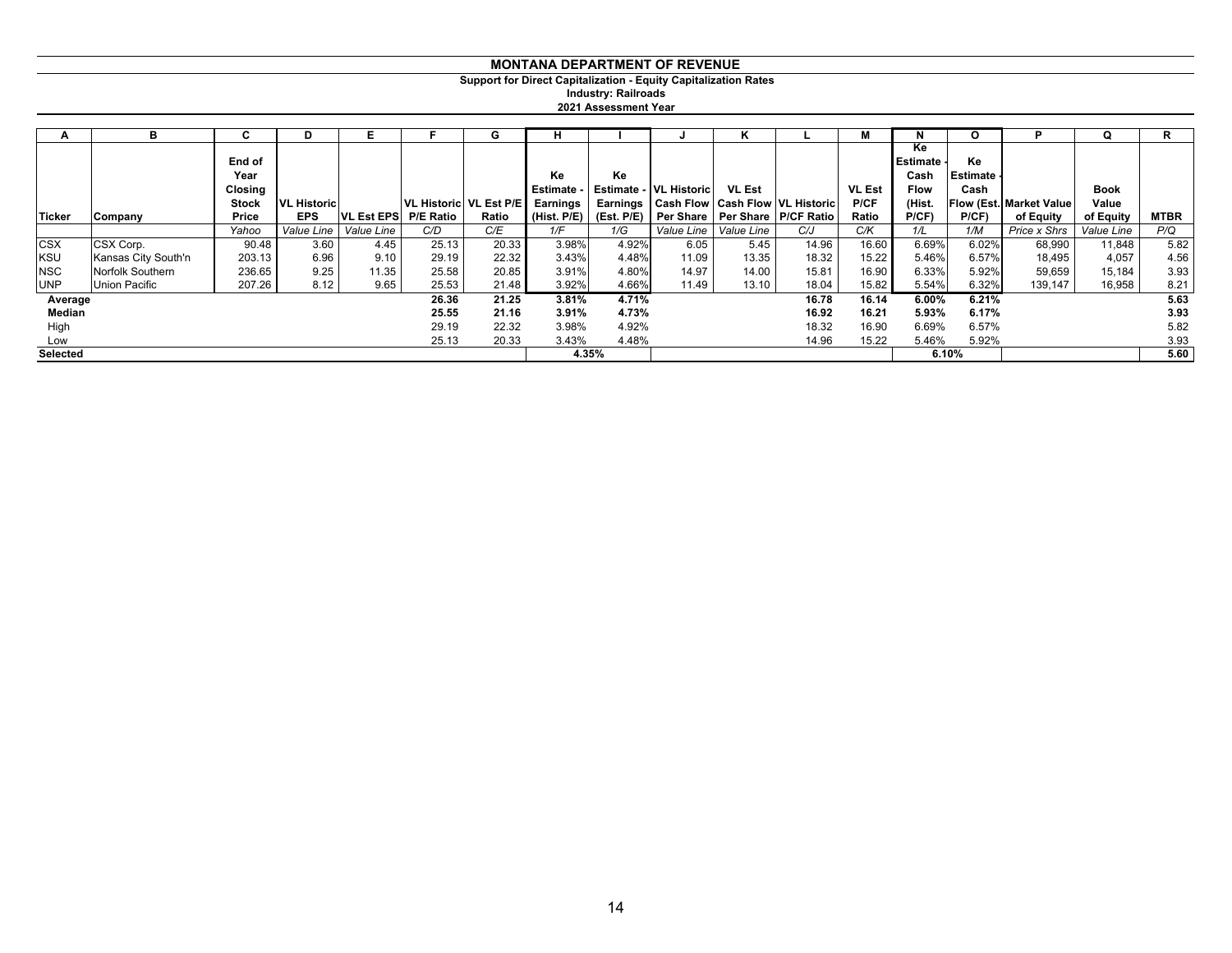**Support for Direct Capitalization - Equity Capitalization Rates**

**Industry: Railroads**

| 2021 Assessment Year |  |
|----------------------|--|
|                      |  |

| A          | в                   | C              | D                  |                         |                          | G     | н           |       |                         | n.            |                                                | м             | N                             | O                     |                                | Q           | R           |
|------------|---------------------|----------------|--------------------|-------------------------|--------------------------|-------|-------------|-------|-------------------------|---------------|------------------------------------------------|---------------|-------------------------------|-----------------------|--------------------------------|-------------|-------------|
|            |                     | End of<br>Year |                    |                         |                          |       | Ke          | Ke    |                         |               |                                                |               | Ke<br><b>Estimate</b><br>Cash | Ke<br><b>Estimate</b> |                                |             |             |
|            |                     | Closing        |                    |                         |                          |       | Estimate -  |       | Estimate - VL Historic  | <b>VL Est</b> |                                                | <b>VL Est</b> | <b>Flow</b>                   | Cash                  |                                | <b>Book</b> |             |
|            |                     | <b>Stock</b>   | <b>VL Historic</b> |                         | VL Historic   VL Est P/E |       | Earnings    |       |                         |               | Earnings   Cash Flow   Cash Flow   VL Historic | <b>P/CF</b>   | (Hist.                        |                       | <b>Flow (Est. Market Value</b> | Value       |             |
| Ticker     | Company             | Price          | <b>EPS</b>         | <b>VL Est EPS</b>       | <b>P/E Ratio</b>         | Ratio | (Hist. P/E) |       |                         |               | (Est. P/E) Per Share   Per Share   P/CF Ratio  | Ratio         | P(CF)                         | P(CF)                 | of Equity                      | of Equity   | <b>MTBR</b> |
|            |                     | Yahoo          |                    | Value Line   Value Line | C/D                      | C/E   | 1/F         | 1/G   | Value Line   Value Line |               | C/J                                            | C/K           | 1/L                           | 1/M                   | Price x Shrs                   | Value Line  | P/Q         |
| <b>CSX</b> | CSX Corp.           | 90.48          | 3.60               | 4.45                    | 25.13                    | 20.33 | 3.98%       | 4.92% | 6.05                    | 5.45          | 14.96                                          | 16.60         | 6.69%                         | 6.02%                 | 68,990                         | 11,848      | 5.82        |
| <b>KSU</b> | Kansas City South'n | 203.13         | 6.96               | 9.10                    | 29.19                    | 22.32 | 3.43%       | 4.48% | 11.09                   | 13.35         | 18.32                                          | 15.22         | 5.46%                         | 6.57%                 | 18,495                         | 4,057       | 4.56        |
| <b>NSC</b> | Norfolk Southern    | 236.65         | 9.25               | 11.35                   | 25.58                    | 20.85 | 3.91%       | 4.80% | 14.97                   | 14.00         | 15.81                                          | 16.90         | 6.33%                         | 5.92%                 | 59,659                         | 15,184      | 3.93        |
| <b>UNP</b> | Union Pacific       | 207.26         | 8.12               | 9.65                    | 25.53                    | 21.48 | 3.92%       | 4.66% | 11.49                   | 13.10         | 18.04                                          | 15.82         | 5.54%                         | 6.32%                 | 139,147                        | 16,958      | 8.21        |
| Average    |                     |                |                    |                         | 26.36                    | 21.25 | 3.81%       | 4.71% |                         |               | 16.78                                          | 16.14         | 6.00%                         | 6.21%                 |                                |             | 5.63        |
| Median     |                     |                |                    |                         | 25.55                    | 21.16 | 3.91%       | 4.73% |                         |               | 16.92                                          | 16.21         | 5.93%                         | 6.17%                 |                                |             | 3.93        |
| High       |                     |                |                    |                         | 29.19                    | 22.32 | 3.98%       | 4.92% |                         |               | 18.32                                          | 16.90         | 6.69%                         | 6.57%                 |                                |             | 5.82        |
| Low        |                     |                |                    |                         | 25.13                    | 20.33 | 3.43%       | 4.48% |                         |               | 14.96                                          | 15.22         | 5.46%                         | 5.92%                 |                                |             | 3.93        |
| Selected   |                     |                |                    |                         |                          |       |             | 4.35% |                         |               |                                                |               |                               | 6.10%                 |                                |             | 5.60        |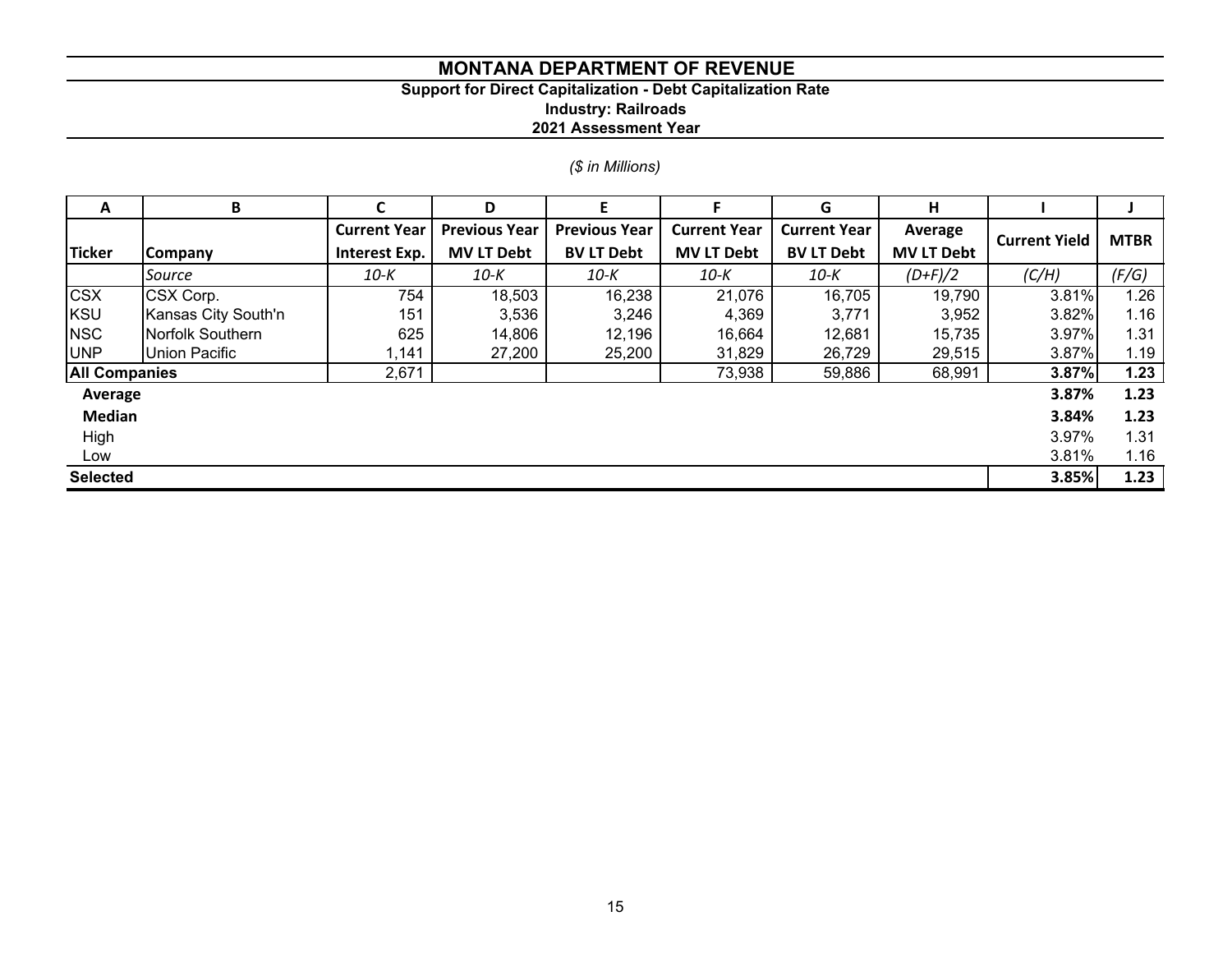# **Support for Direct Capitalization - Debt Capitalization Rate**

**Industry: Railroads**

**2021 Assessment Year**

# *(\$ in Millions)*

| A                    | В                   | C                   | D                    | F                    |                     | G                   | н                 |                      |             |
|----------------------|---------------------|---------------------|----------------------|----------------------|---------------------|---------------------|-------------------|----------------------|-------------|
|                      |                     | <b>Current Year</b> | <b>Previous Year</b> | <b>Previous Year</b> | <b>Current Year</b> | <b>Current Year</b> | Average           | <b>Current Yield</b> | <b>MTBR</b> |
| <b>Ticker</b>        | Company             | Interest Exp.       | <b>MV LT Debt</b>    | <b>BV LT Debt</b>    | <b>MV LT Debt</b>   | <b>BV LT Debt</b>   | <b>MV LT Debt</b> |                      |             |
|                      | Source              | 10-K                | 10-K                 | 10-K                 | 10-K                | 10-K                | $(D+F)/2$         | (C/H)                | (F/G)       |
| <b>CSX</b>           | CSX Corp.           | 754                 | 18,503               | 16,238               | 21,076              | 16,705              | 19,790            | 3.81%                | 1.26        |
| KSU                  | Kansas City South'n | 151                 | 3,536                | 3,246                | 4,369               | 3,771               | 3,952             | 3.82%                | 1.16        |
| <b>NSC</b>           | Norfolk Southern    | 625                 | 14,806               | 12,196               | 16,664              | 12,681              | 15,735            | 3.97%                | 1.31        |
| <b>UNP</b>           | Union Pacific       | 1,141               | 27,200               | 25,200               | 31,829              | 26,729              | 29,515            | 3.87%                | 1.19        |
| <b>All Companies</b> |                     | 2,671               |                      |                      | 73,938              | 59,886              | 68,991            | 3.87%                | 1.23        |
| Average              |                     |                     |                      |                      |                     |                     |                   | 3.87%                | 1.23        |
| <b>Median</b>        |                     |                     |                      |                      |                     |                     |                   | 3.84%                | 1.23        |
| High                 |                     |                     |                      |                      |                     |                     |                   | 3.97%                | 1.31        |
| Low                  |                     |                     |                      |                      |                     |                     |                   | 3.81%                | 1.16        |
| <b>Selected</b>      |                     |                     |                      |                      |                     |                     |                   | 3.85%                | 1.23        |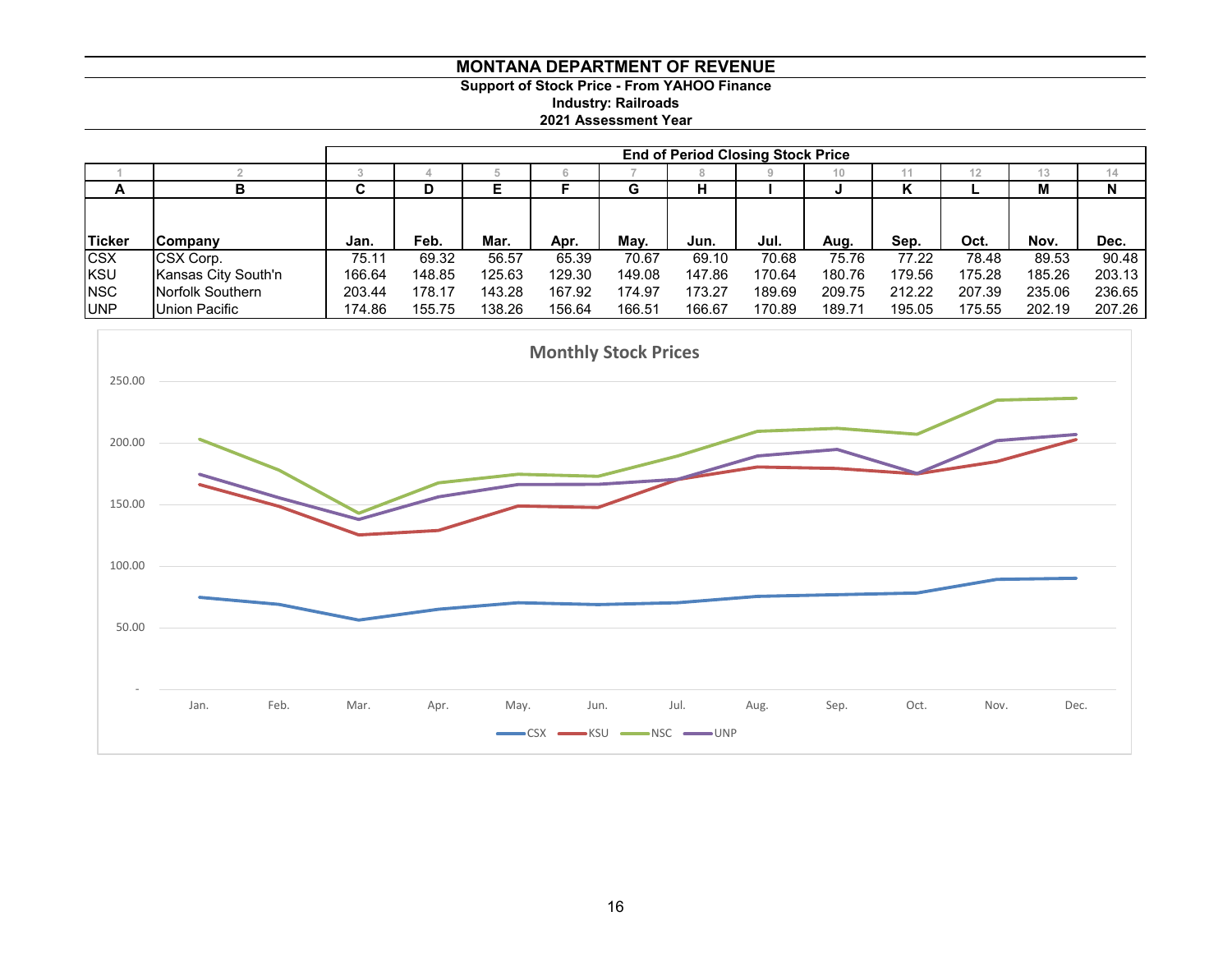# **MONTANA DEPARTMENT OF REVENUE Support of Stock Price - From YAHOO Finance Industry: Railroads 2021 Assessment Year**

|            |                     | <b>End of Period Closing Stock Price</b> |        |        |        |        |        |        |        |        |        |        |        |  |  |
|------------|---------------------|------------------------------------------|--------|--------|--------|--------|--------|--------|--------|--------|--------|--------|--------|--|--|
|            |                     |                                          |        |        |        |        |        |        | 10     |        | 12     | $\sim$ | 14     |  |  |
| A          | D                   | ~<br>u                                   | υ      |        |        | G      | н      |        |        | r      |        | м      | N      |  |  |
|            |                     |                                          |        |        |        |        |        |        |        |        |        |        |        |  |  |
|            |                     |                                          |        |        |        |        |        |        |        |        |        |        |        |  |  |
| Ticker     | Company             | Jan.                                     | Feb.   | Mar.   | Apr.   | May.   | Jun.   | Jul.   | Aug.   | Sep.   | Oct.   | Nov.   | Dec.   |  |  |
| <b>CSX</b> | CSX Corp.           | 75.11                                    | 69.32  | 56.57  | 65.39  | 70.67  | 69.10  | 70.68  | 75.76  | 77.22  | 78.48  | 89.53  | 90.48  |  |  |
| KSU        | Kansas City South'n | 166.64                                   | 148.85 | 125.63 | 129.30 | 149.08 | 147.86 | 170.64 | 180.76 | 179.56 | 175.28 | 185.26 | 203.13 |  |  |
| <b>NSC</b> | Norfolk Southern    | 203.44                                   | 178.17 | 143.28 | 167.92 | 174.97 | 173.27 | 189.69 | 209.75 | 212.22 | 207.39 | 235.06 | 236.65 |  |  |
| <b>UNP</b> | Union Pacific       | 174.86                                   | 155.75 | 138.26 | 156.64 | 166.51 | 166.67 | 170.89 | 189.71 | 195.05 | 175.55 | 202.19 | 207.26 |  |  |